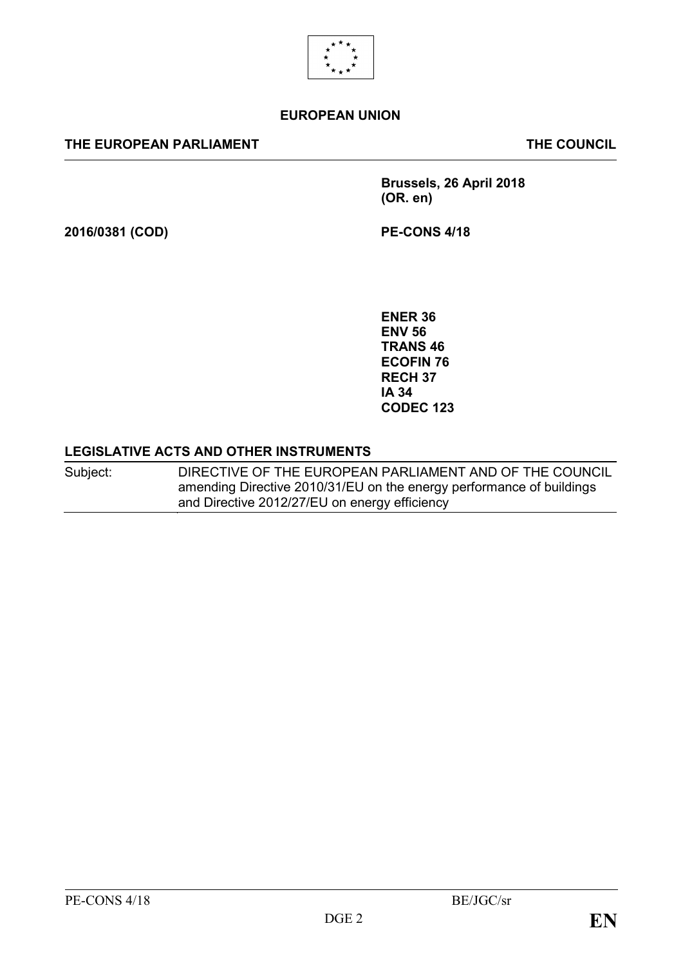

#### **EUROPEAN UNION**

#### **THE EUROPEAN PARLIAMENT THE COUNCIL**

**Brussels, 26 April 2018 (OR. en)**

**2016/0381 (COD) PE-CONS 4/18**

**ENER 36 ENV 56 TRANS 46 ECOFIN 76 RECH 37 IA 34 CODEC 123**

#### **LEGISLATIVE ACTS AND OTHER INSTRUMENTS**

Subject: DIRECTIVE OF THE EUROPEAN PARLIAMENT AND OF THE COUNCIL amending Directive 2010/31/EU on the energy performance of buildings and Directive 2012/27/EU on energy efficiency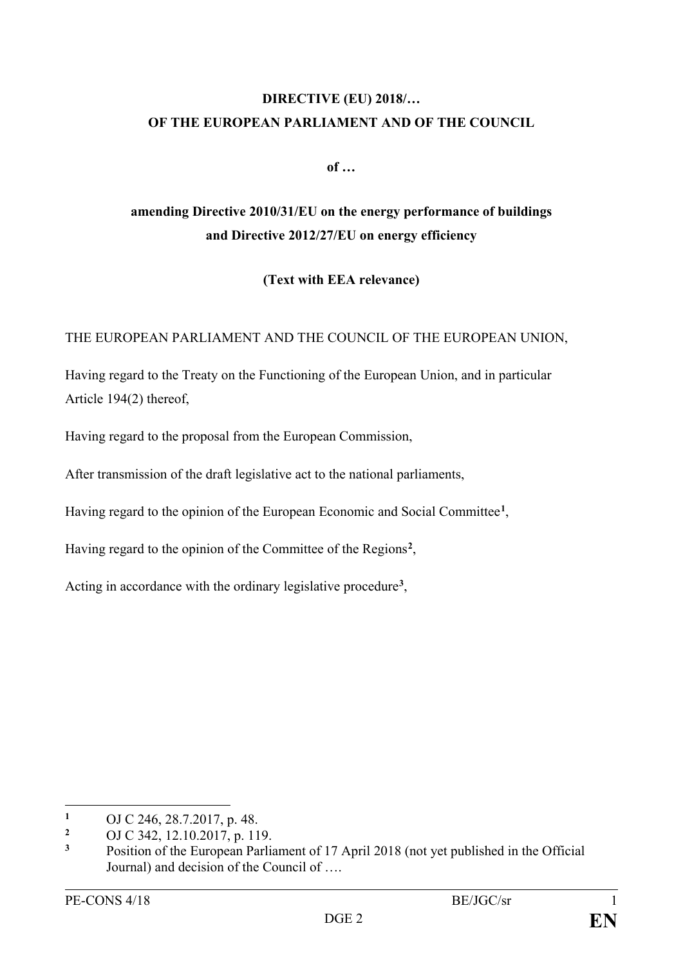# **DIRECTIVE (EU) 2018/… OF THE EUROPEAN PARLIAMENT AND OF THE COUNCIL**

**of …**

# **amending Directive 2010/31/EU on the energy performance of buildings and Directive 2012/27/EU on energy efficiency**

**(Text with EEA relevance)**

THE EUROPEAN PARLIAMENT AND THE COUNCIL OF THE EUROPEAN UNION,

Having regard to the Treaty on the Functioning of the European Union, and in particular Article 194(2) thereof,

Having regard to the proposal from the European Commission,

After transmission of the draft legislative act to the national parliaments,

Having regard to the opinion of the European Economic and Social Committee**[1](#page-1-0)**,

Having regard to the opinion of the Committee of the Regions**[2](#page-1-1)**,

Acting in accordance with the ordinary legislative procedure**[3](#page-1-2)**,

 $\overline{a}$ 

<span id="page-1-0"></span><sup>&</sup>lt;sup>1</sup> OJ C 246, 28.7.2017, p. 48.

<span id="page-1-1"></span><sup>&</sup>lt;sup>2</sup> OJ C 342, 12.10.2017, p. 119.<br><sup>3</sup> Position of the European Parli

<span id="page-1-2"></span>**<sup>3</sup>** Position of the European Parliament of 17 April 2018 (not yet published in the Official Journal) and decision of the Council of ….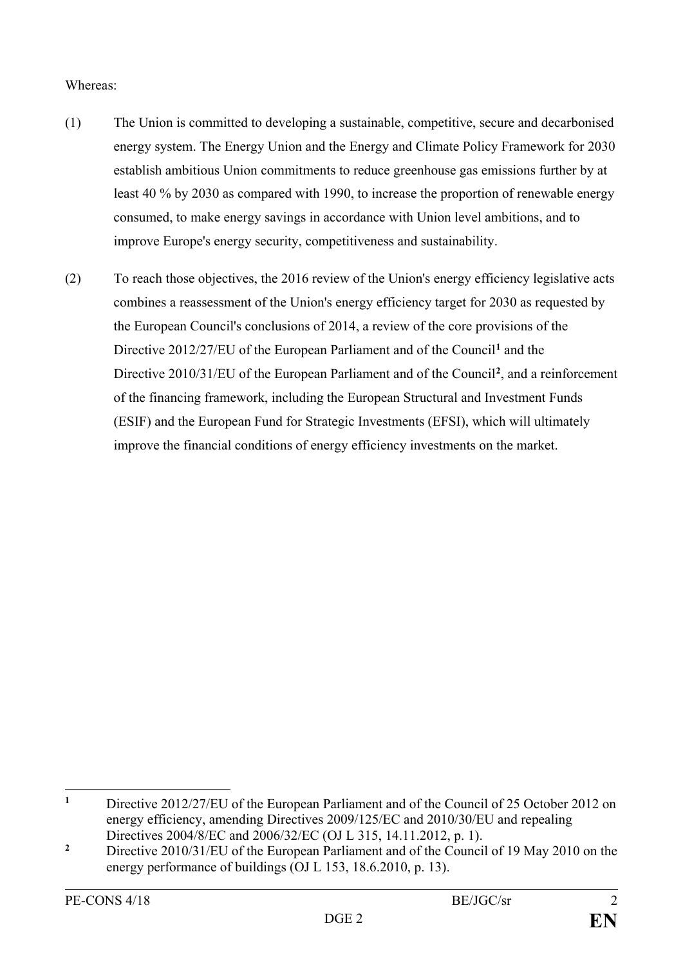### Whereas:

- (1) The Union is committed to developing a sustainable, competitive, secure and decarbonised energy system. The Energy Union and the Energy and Climate Policy Framework for 2030 establish ambitious Union commitments to reduce greenhouse gas emissions further by at least 40 % by 2030 as compared with 1990, to increase the proportion of renewable energy consumed, to make energy savings in accordance with Union level ambitions, and to improve Europe's energy security, competitiveness and sustainability.
- (2) To reach those objectives, the 2016 review of the Union's energy efficiency legislative acts combines a reassessment of the Union's energy efficiency target for 2030 as requested by the European Council's conclusions of 2014, a review of the core provisions of the Directive 2012/27/EU of the European Parliament and of the Council**[1](#page-2-0)** and the Directive 2010/31/EU of the European Parliament and of the Council**[2](#page-2-1)**, and a reinforcement of the financing framework, including the European Structural and Investment Funds (ESIF) and the European Fund for Strategic Investments (EFSI), which will ultimately improve the financial conditions of energy efficiency investments on the market.

<span id="page-2-0"></span> $\mathbf{1}$ **<sup>1</sup>** Directive 2012/27/EU of the European Parliament and of the Council of 25 October 2012 on energy efficiency, amending Directives 2009/125/EC and 2010/30/EU and repealing Directives 2004/8/EC and 2006/32/EC (OJ L 315, 14.11.2012, p. 1).

<span id="page-2-1"></span><sup>&</sup>lt;sup>2</sup> Directive 2010/31/EU of the European Parliament and of the Council of 19 May 2010 on the energy performance of buildings (OJ L 153, 18.6.2010, p. 13).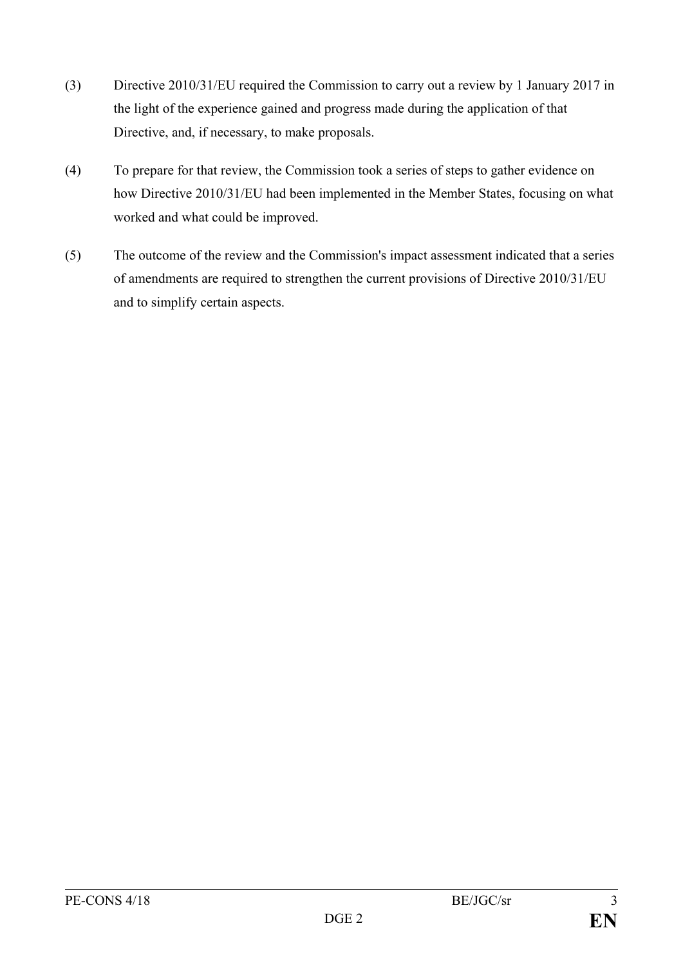- (3) Directive 2010/31/EU required the Commission to carry out a review by 1 January 2017 in the light of the experience gained and progress made during the application of that Directive, and, if necessary, to make proposals.
- (4) To prepare for that review, the Commission took a series of steps to gather evidence on how Directive 2010/31/EU had been implemented in the Member States, focusing on what worked and what could be improved.
- (5) The outcome of the review and the Commission's impact assessment indicated that a series of amendments are required to strengthen the current provisions of Directive 2010/31/EU and to simplify certain aspects.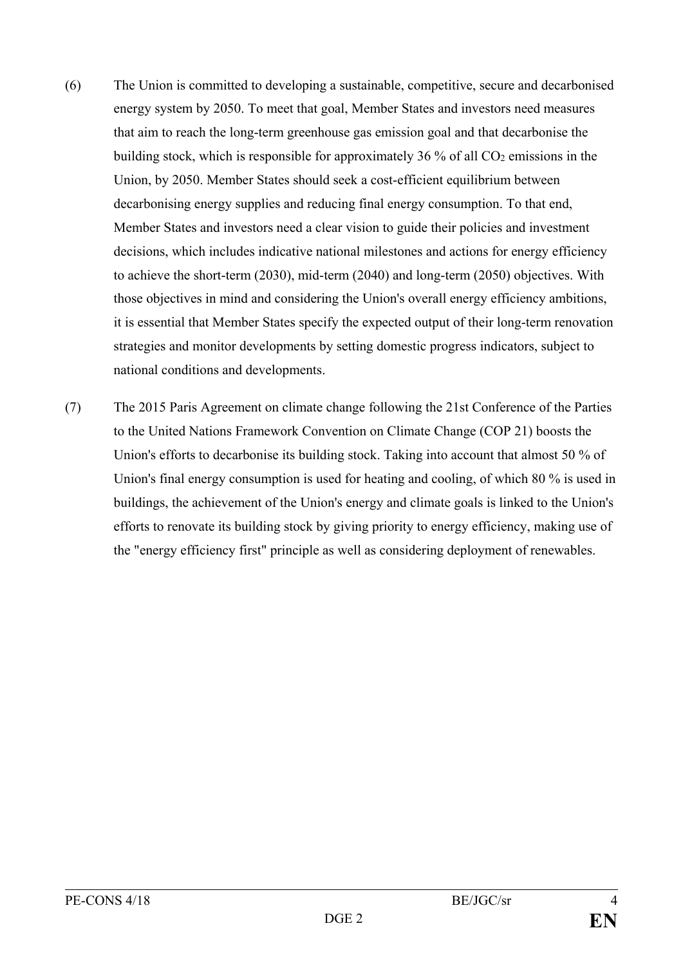- (6) The Union is committed to developing a sustainable, competitive, secure and decarbonised energy system by 2050. To meet that goal, Member States and investors need measures that aim to reach the long-term greenhouse gas emission goal and that decarbonise the building stock, which is responsible for approximately 36  $\%$  of all CO<sub>2</sub> emissions in the Union, by 2050. Member States should seek a cost-efficient equilibrium between decarbonising energy supplies and reducing final energy consumption. To that end, Member States and investors need a clear vision to guide their policies and investment decisions, which includes indicative national milestones and actions for energy efficiency to achieve the short-term (2030), mid-term (2040) and long-term (2050) objectives. With those objectives in mind and considering the Union's overall energy efficiency ambitions, it is essential that Member States specify the expected output of their long-term renovation strategies and monitor developments by setting domestic progress indicators, subject to national conditions and developments.
- (7) The 2015 Paris Agreement on climate change following the 21st Conference of the Parties to the United Nations Framework Convention on Climate Change (COP 21) boosts the Union's efforts to decarbonise its building stock. Taking into account that almost 50 % of Union's final energy consumption is used for heating and cooling, of which 80 % is used in buildings, the achievement of the Union's energy and climate goals is linked to the Union's efforts to renovate its building stock by giving priority to energy efficiency, making use of the "energy efficiency first" principle as well as considering deployment of renewables.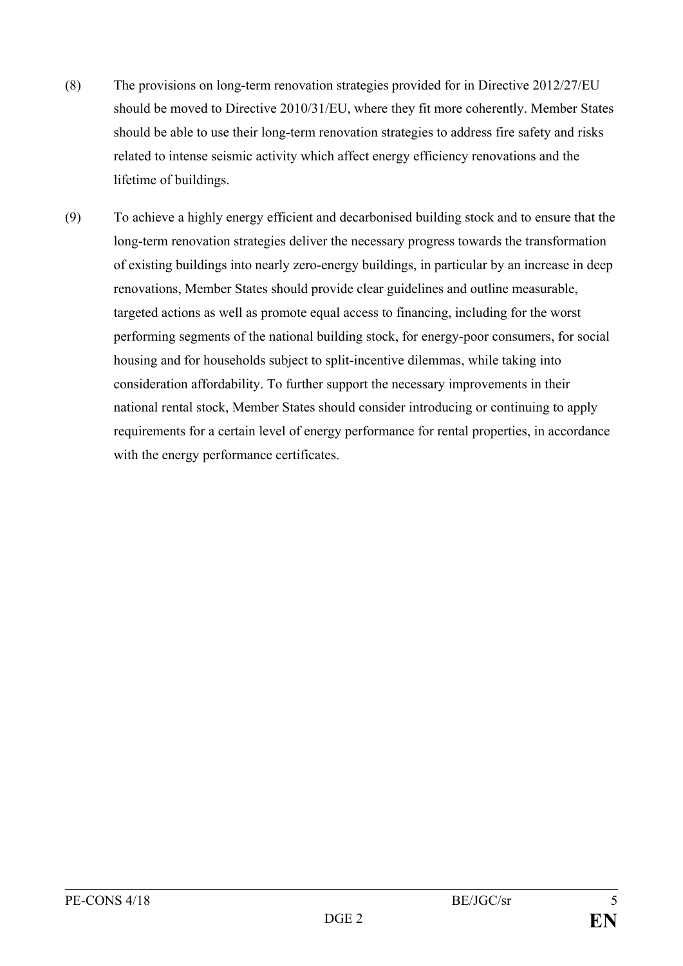- (8) The provisions on long-term renovation strategies provided for in Directive 2012/27/EU should be moved to Directive 2010/31/EU, where they fit more coherently. Member States should be able to use their long-term renovation strategies to address fire safety and risks related to intense seismic activity which affect energy efficiency renovations and the lifetime of buildings.
- (9) To achieve a highly energy efficient and decarbonised building stock and to ensure that the long-term renovation strategies deliver the necessary progress towards the transformation of existing buildings into nearly zero-energy buildings, in particular by an increase in deep renovations, Member States should provide clear guidelines and outline measurable, targeted actions as well as promote equal access to financing, including for the worst performing segments of the national building stock, for energy-poor consumers, for social housing and for households subject to split-incentive dilemmas, while taking into consideration affordability. To further support the necessary improvements in their national rental stock, Member States should consider introducing or continuing to apply requirements for a certain level of energy performance for rental properties, in accordance with the energy performance certificates.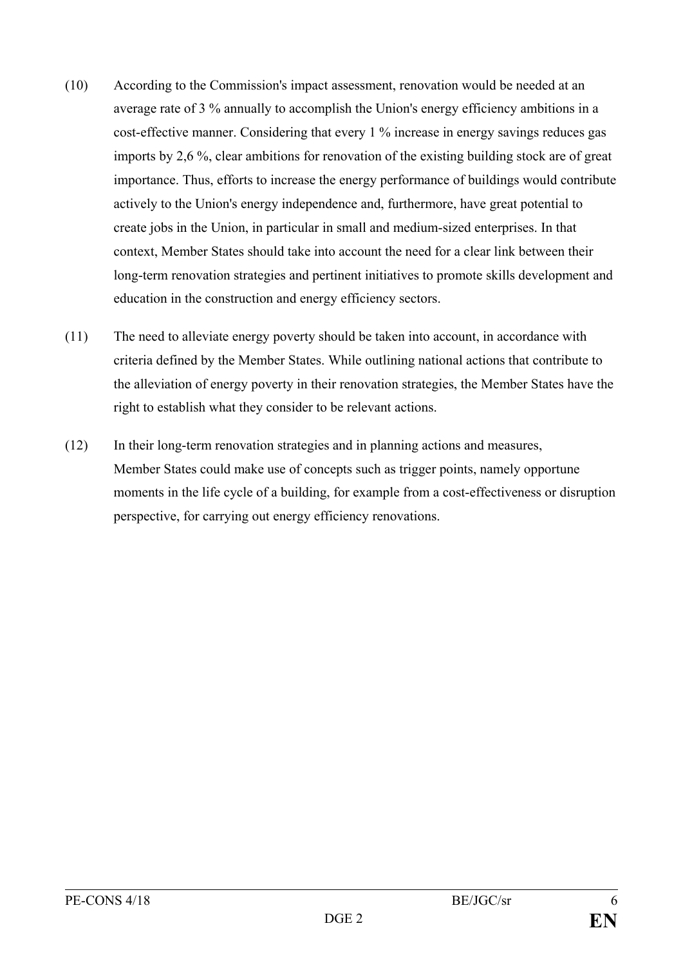- (10) According to the Commission's impact assessment, renovation would be needed at an average rate of 3 % annually to accomplish the Union's energy efficiency ambitions in a cost-effective manner. Considering that every 1 % increase in energy savings reduces gas imports by 2,6 %, clear ambitions for renovation of the existing building stock are of great importance. Thus, efforts to increase the energy performance of buildings would contribute actively to the Union's energy independence and, furthermore, have great potential to create jobs in the Union, in particular in small and medium-sized enterprises. In that context, Member States should take into account the need for a clear link between their long-term renovation strategies and pertinent initiatives to promote skills development and education in the construction and energy efficiency sectors.
- (11) The need to alleviate energy poverty should be taken into account, in accordance with criteria defined by the Member States. While outlining national actions that contribute to the alleviation of energy poverty in their renovation strategies, the Member States have the right to establish what they consider to be relevant actions.
- (12) In their long-term renovation strategies and in planning actions and measures, Member States could make use of concepts such as trigger points, namely opportune moments in the life cycle of a building, for example from a cost-effectiveness or disruption perspective, for carrying out energy efficiency renovations.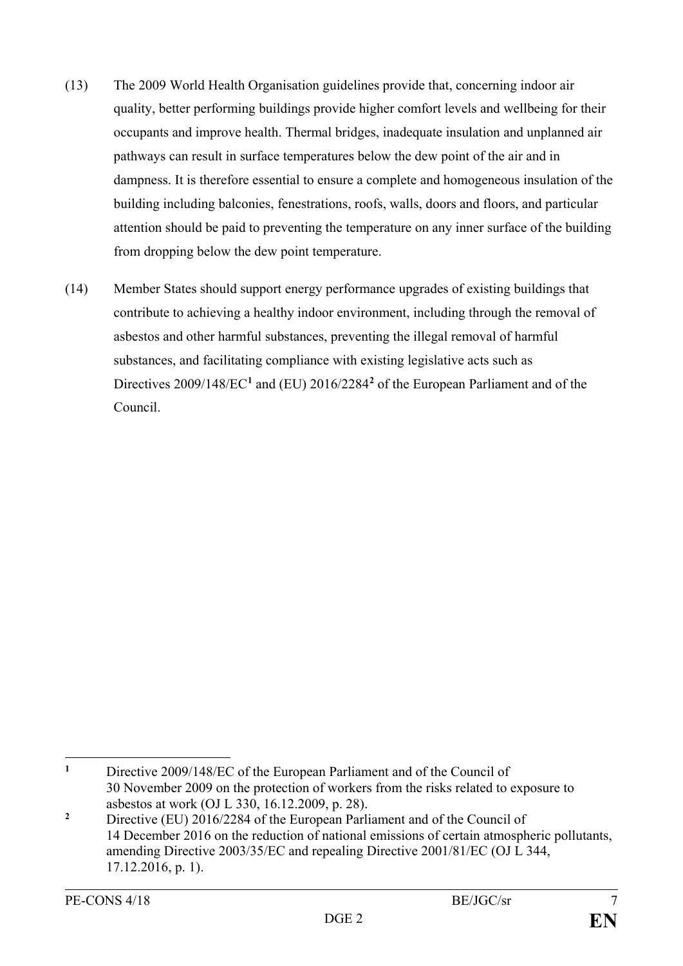- (13) The 2009 World Health Organisation guidelines provide that, concerning indoor air quality, better performing buildings provide higher comfort levels and wellbeing for their occupants and improve health. Thermal bridges, inadequate insulation and unplanned air pathways can result in surface temperatures below the dew point of the air and in dampness. It is therefore essential to ensure a complete and homogeneous insulation of the building including balconies, fenestrations, roofs, walls, doors and floors, and particular attention should be paid to preventing the temperature on any inner surface of the building from dropping below the dew point temperature.
- (14) Member States should support energy performance upgrades of existing buildings that contribute to achieving a healthy indoor environment, including through the removal of asbestos and other harmful substances, preventing the illegal removal of harmful substances, and facilitating compliance with existing legislative acts such as Directives 2009/148/EC**[1](#page-7-0)** and (EU) 2016/2284**[2](#page-7-1)** of the European Parliament and of the Council.

<span id="page-7-0"></span> $\mathbf{1}$ **<sup>1</sup>** Directive 2009/148/EC of the European Parliament and of the Council of 30 November 2009 on the protection of workers from the risks related to exposure to asbestos at work (OJ L 330, 16.12.2009, p. 28).

<span id="page-7-1"></span><sup>&</sup>lt;sup>2</sup> Directive (EU) 2016/2284 of the European Parliament and of the Council of 14 December 2016 on the reduction of national emissions of certain atmospheric pollutants, amending Directive 2003/35/EC and repealing Directive 2001/81/EC (OJ L 344, 17.12.2016, p. 1).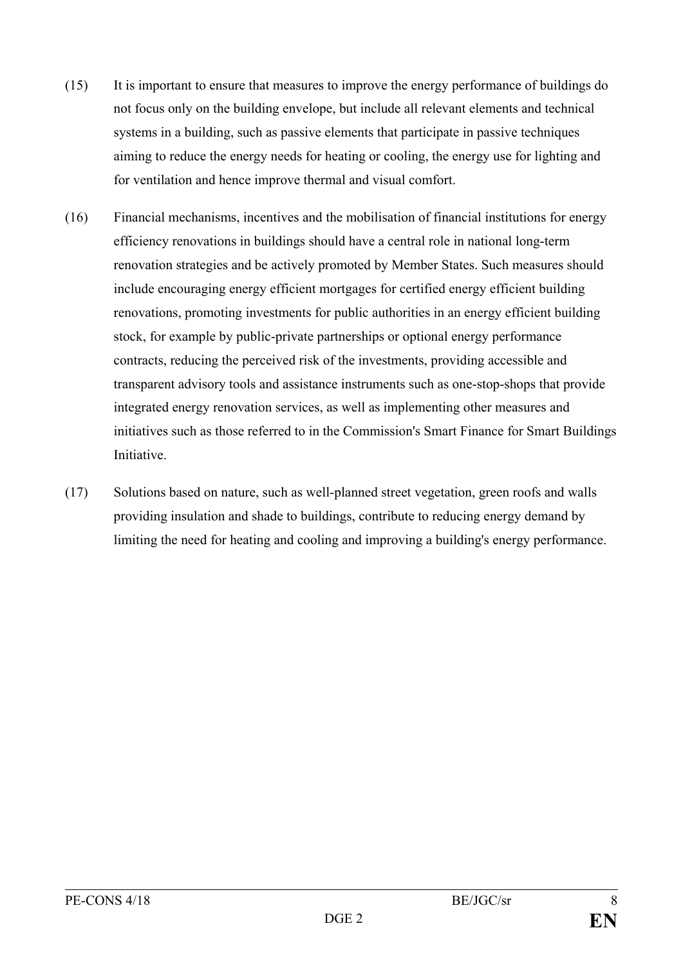- (15) It is important to ensure that measures to improve the energy performance of buildings do not focus only on the building envelope, but include all relevant elements and technical systems in a building, such as passive elements that participate in passive techniques aiming to reduce the energy needs for heating or cooling, the energy use for lighting and for ventilation and hence improve thermal and visual comfort.
- (16) Financial mechanisms, incentives and the mobilisation of financial institutions for energy efficiency renovations in buildings should have a central role in national long-term renovation strategies and be actively promoted by Member States. Such measures should include encouraging energy efficient mortgages for certified energy efficient building renovations, promoting investments for public authorities in an energy efficient building stock, for example by public-private partnerships or optional energy performance contracts, reducing the perceived risk of the investments, providing accessible and transparent advisory tools and assistance instruments such as one-stop-shops that provide integrated energy renovation services, as well as implementing other measures and initiatives such as those referred to in the Commission's Smart Finance for Smart Buildings **Initiative**
- (17) Solutions based on nature, such as well-planned street vegetation, green roofs and walls providing insulation and shade to buildings, contribute to reducing energy demand by limiting the need for heating and cooling and improving a building's energy performance.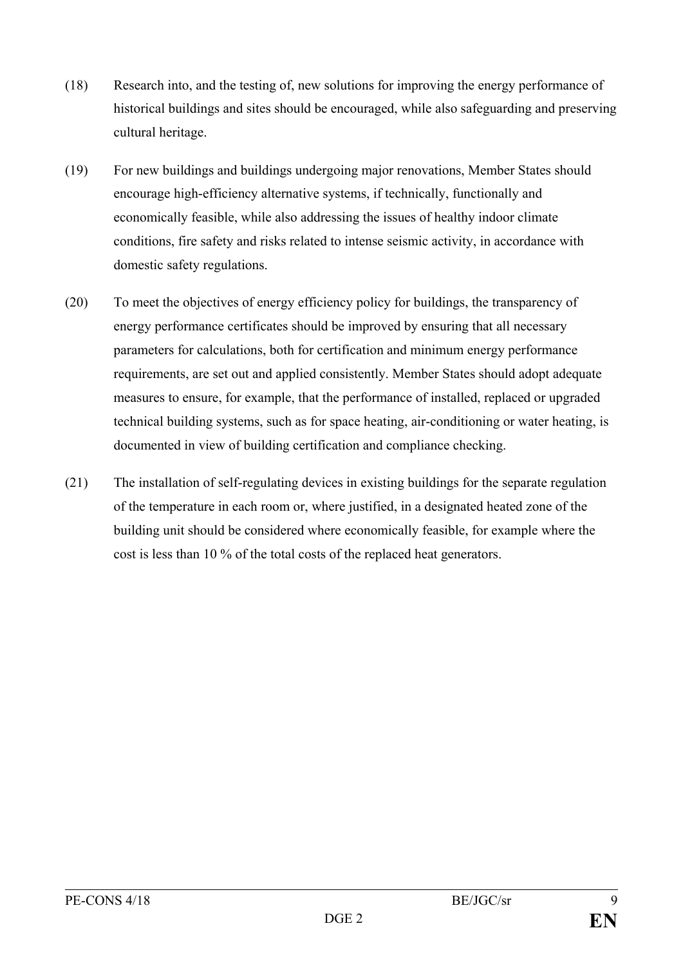- (18) Research into, and the testing of, new solutions for improving the energy performance of historical buildings and sites should be encouraged, while also safeguarding and preserving cultural heritage.
- (19) For new buildings and buildings undergoing major renovations, Member States should encourage high-efficiency alternative systems, if technically, functionally and economically feasible, while also addressing the issues of healthy indoor climate conditions, fire safety and risks related to intense seismic activity, in accordance with domestic safety regulations.
- (20) To meet the objectives of energy efficiency policy for buildings, the transparency of energy performance certificates should be improved by ensuring that all necessary parameters for calculations, both for certification and minimum energy performance requirements, are set out and applied consistently. Member States should adopt adequate measures to ensure, for example, that the performance of installed, replaced or upgraded technical building systems, such as for space heating, air-conditioning or water heating, is documented in view of building certification and compliance checking.
- (21) The installation of self-regulating devices in existing buildings for the separate regulation of the temperature in each room or, where justified, in a designated heated zone of the building unit should be considered where economically feasible, for example where the cost is less than 10 % of the total costs of the replaced heat generators.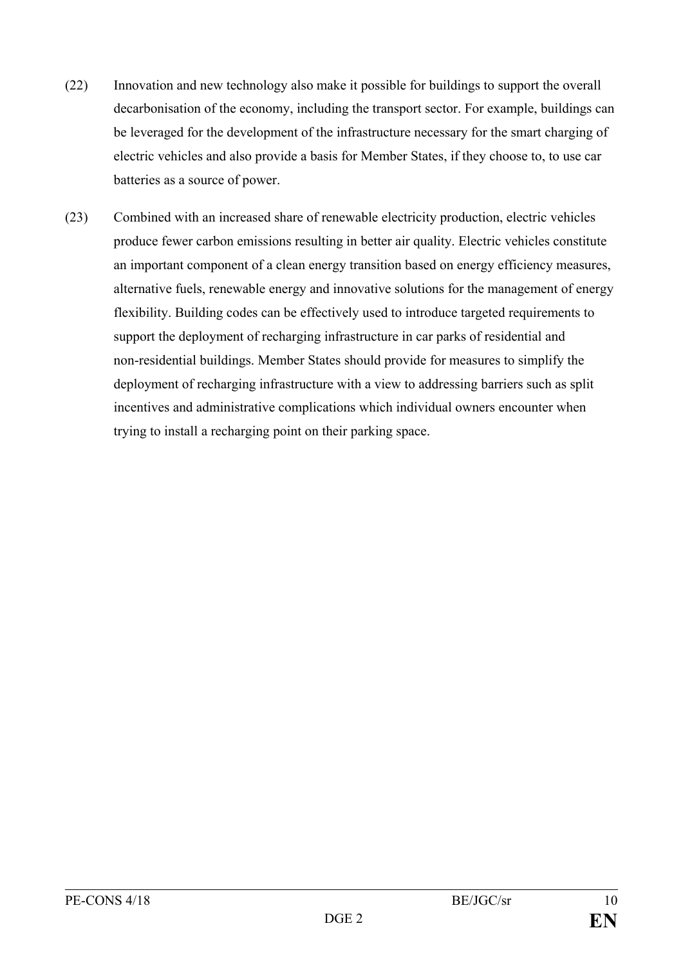- (22) Innovation and new technology also make it possible for buildings to support the overall decarbonisation of the economy, including the transport sector. For example, buildings can be leveraged for the development of the infrastructure necessary for the smart charging of electric vehicles and also provide a basis for Member States, if they choose to, to use car batteries as a source of power.
- (23) Combined with an increased share of renewable electricity production, electric vehicles produce fewer carbon emissions resulting in better air quality. Electric vehicles constitute an important component of a clean energy transition based on energy efficiency measures, alternative fuels, renewable energy and innovative solutions for the management of energy flexibility. Building codes can be effectively used to introduce targeted requirements to support the deployment of recharging infrastructure in car parks of residential and non-residential buildings. Member States should provide for measures to simplify the deployment of recharging infrastructure with a view to addressing barriers such as split incentives and administrative complications which individual owners encounter when trying to install a recharging point on their parking space.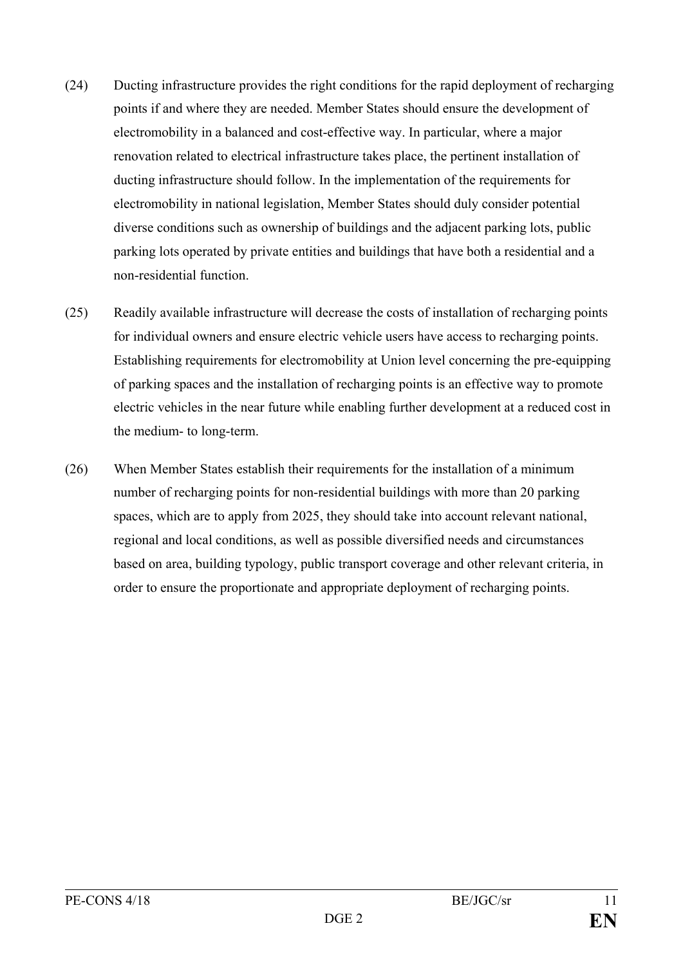- (24) Ducting infrastructure provides the right conditions for the rapid deployment of recharging points if and where they are needed. Member States should ensure the development of electromobility in a balanced and cost-effective way. In particular, where a major renovation related to electrical infrastructure takes place, the pertinent installation of ducting infrastructure should follow. In the implementation of the requirements for electromobility in national legislation, Member States should duly consider potential diverse conditions such as ownership of buildings and the adjacent parking lots, public parking lots operated by private entities and buildings that have both a residential and a non-residential function.
- (25) Readily available infrastructure will decrease the costs of installation of recharging points for individual owners and ensure electric vehicle users have access to recharging points. Establishing requirements for electromobility at Union level concerning the pre-equipping of parking spaces and the installation of recharging points is an effective way to promote electric vehicles in the near future while enabling further development at a reduced cost in the medium- to long-term.
- (26) When Member States establish their requirements for the installation of a minimum number of recharging points for non-residential buildings with more than 20 parking spaces, which are to apply from 2025, they should take into account relevant national, regional and local conditions, as well as possible diversified needs and circumstances based on area, building typology, public transport coverage and other relevant criteria, in order to ensure the proportionate and appropriate deployment of recharging points.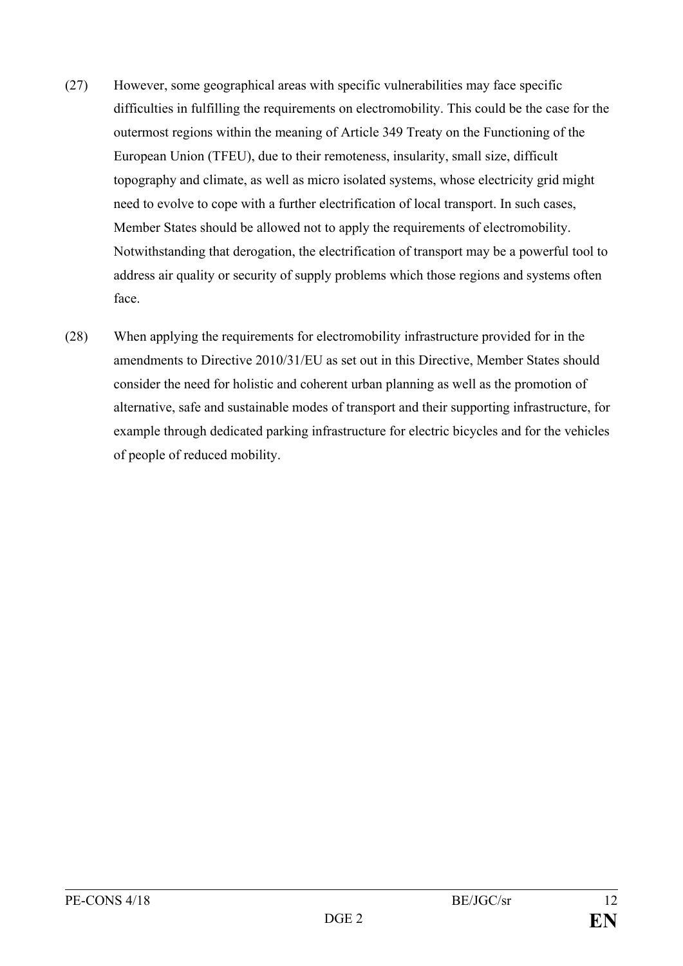- (27) However, some geographical areas with specific vulnerabilities may face specific difficulties in fulfilling the requirements on electromobility. This could be the case for the outermost regions within the meaning of Article 349 Treaty on the Functioning of the European Union (TFEU), due to their remoteness, insularity, small size, difficult topography and climate, as well as micro isolated systems, whose electricity grid might need to evolve to cope with a further electrification of local transport. In such cases, Member States should be allowed not to apply the requirements of electromobility. Notwithstanding that derogation, the electrification of transport may be a powerful tool to address air quality or security of supply problems which those regions and systems often face.
- (28) When applying the requirements for electromobility infrastructure provided for in the amendments to Directive 2010/31/EU as set out in this Directive, Member States should consider the need for holistic and coherent urban planning as well as the promotion of alternative, safe and sustainable modes of transport and their supporting infrastructure, for example through dedicated parking infrastructure for electric bicycles and for the vehicles of people of reduced mobility.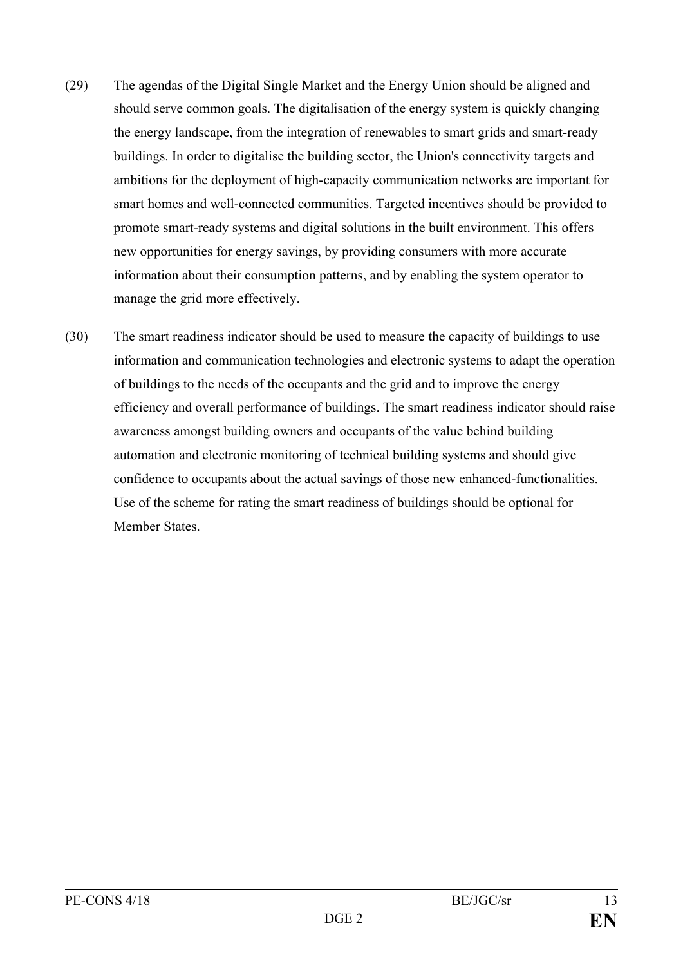- (29) The agendas of the Digital Single Market and the Energy Union should be aligned and should serve common goals. The digitalisation of the energy system is quickly changing the energy landscape, from the integration of renewables to smart grids and smart-ready buildings. In order to digitalise the building sector, the Union's connectivity targets and ambitions for the deployment of high-capacity communication networks are important for smart homes and well-connected communities. Targeted incentives should be provided to promote smart-ready systems and digital solutions in the built environment. This offers new opportunities for energy savings, by providing consumers with more accurate information about their consumption patterns, and by enabling the system operator to manage the grid more effectively.
- (30) The smart readiness indicator should be used to measure the capacity of buildings to use information and communication technologies and electronic systems to adapt the operation of buildings to the needs of the occupants and the grid and to improve the energy efficiency and overall performance of buildings. The smart readiness indicator should raise awareness amongst building owners and occupants of the value behind building automation and electronic monitoring of technical building systems and should give confidence to occupants about the actual savings of those new enhanced-functionalities. Use of the scheme for rating the smart readiness of buildings should be optional for Member States.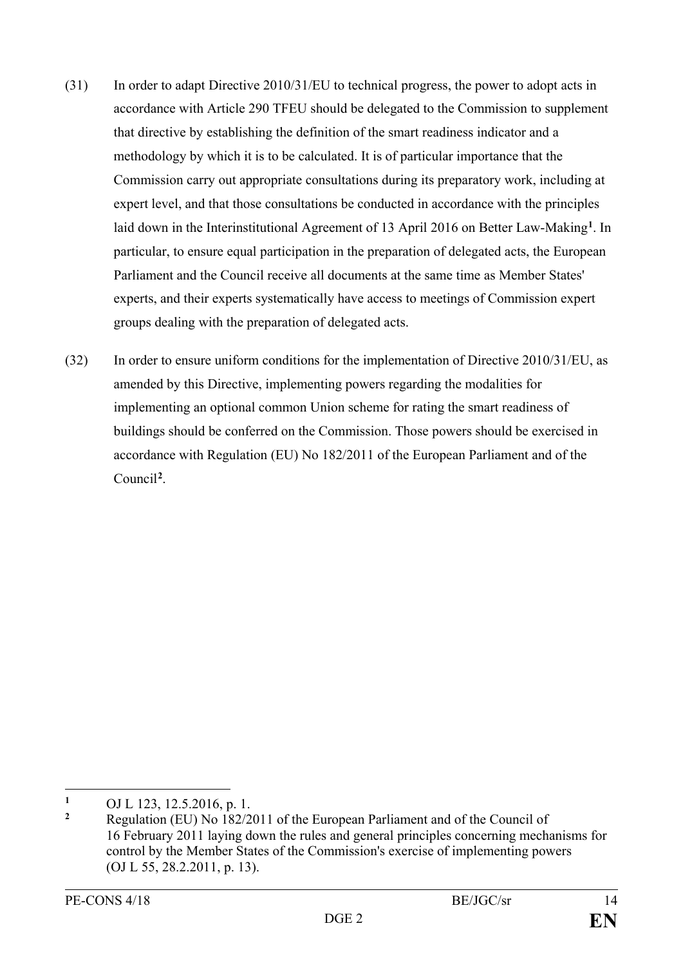- (31) In order to adapt Directive 2010/31/EU to technical progress, the power to adopt acts in accordance with Article 290 TFEU should be delegated to the Commission to supplement that directive by establishing the definition of the smart readiness indicator and a methodology by which it is to be calculated. It is of particular importance that the Commission carry out appropriate consultations during its preparatory work, including at expert level, and that those consultations be conducted in accordance with the principles laid down in the Interinstitutional Agreement of 13 April 2016 on Better Law-Making**[1](#page-14-0)**. In particular, to ensure equal participation in the preparation of delegated acts, the European Parliament and the Council receive all documents at the same time as Member States' experts, and their experts systematically have access to meetings of Commission expert groups dealing with the preparation of delegated acts.
- (32) In order to ensure uniform conditions for the implementation of Directive 2010/31/EU, as amended by this Directive, implementing powers regarding the modalities for implementing an optional common Union scheme for rating the smart readiness of buildings should be conferred on the Commission. Those powers should be exercised in accordance with Regulation (EU) No 182/2011 of the European Parliament and of the Council**[2](#page-14-1)**.

<span id="page-14-0"></span> $\mathbf{1}$ 1 OJ L 123, 12.5.2016, p. 1.<br>2 Pegyletian (EU) No. 182/2

<span id="page-14-1"></span>**<sup>2</sup>** Regulation (EU) No 182/2011 of the European Parliament and of the Council of 16 February 2011 laying down the rules and general principles concerning mechanisms for control by the Member States of the Commission's exercise of implementing powers (OJ L 55, 28.2.2011, p. 13).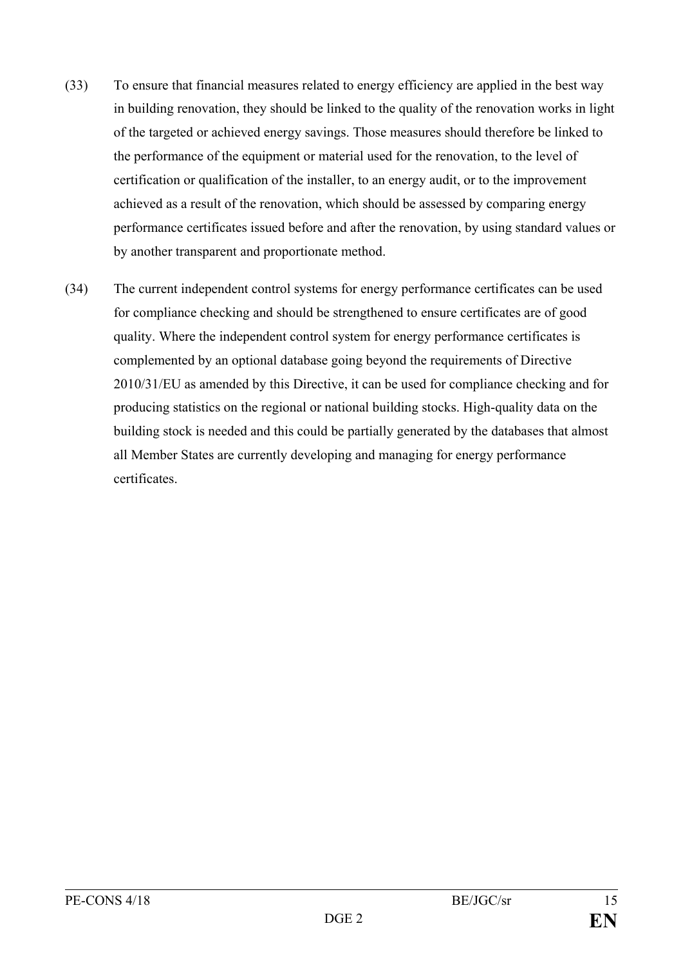- (33) To ensure that financial measures related to energy efficiency are applied in the best way in building renovation, they should be linked to the quality of the renovation works in light of the targeted or achieved energy savings. Those measures should therefore be linked to the performance of the equipment or material used for the renovation, to the level of certification or qualification of the installer, to an energy audit, or to the improvement achieved as a result of the renovation, which should be assessed by comparing energy performance certificates issued before and after the renovation, by using standard values or by another transparent and proportionate method.
- (34) The current independent control systems for energy performance certificates can be used for compliance checking and should be strengthened to ensure certificates are of good quality. Where the independent control system for energy performance certificates is complemented by an optional database going beyond the requirements of Directive 2010/31/EU as amended by this Directive, it can be used for compliance checking and for producing statistics on the regional or national building stocks. High-quality data on the building stock is needed and this could be partially generated by the databases that almost all Member States are currently developing and managing for energy performance certificates.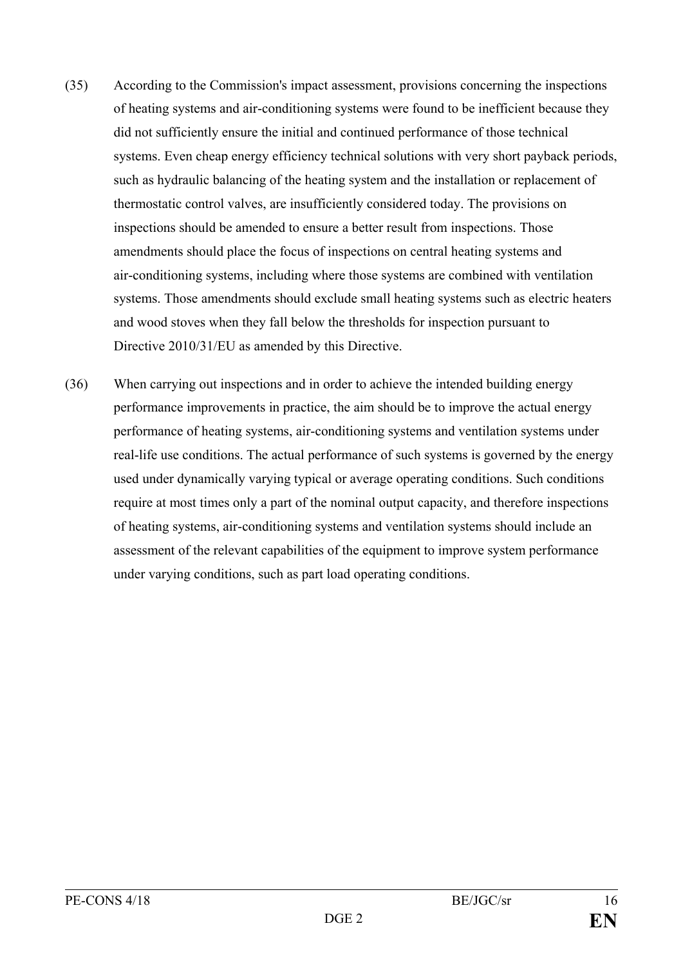- (35) According to the Commission's impact assessment, provisions concerning the inspections of heating systems and air-conditioning systems were found to be inefficient because they did not sufficiently ensure the initial and continued performance of those technical systems. Even cheap energy efficiency technical solutions with very short payback periods, such as hydraulic balancing of the heating system and the installation or replacement of thermostatic control valves, are insufficiently considered today. The provisions on inspections should be amended to ensure a better result from inspections. Those amendments should place the focus of inspections on central heating systems and air-conditioning systems, including where those systems are combined with ventilation systems. Those amendments should exclude small heating systems such as electric heaters and wood stoves when they fall below the thresholds for inspection pursuant to Directive 2010/31/EU as amended by this Directive.
- (36) When carrying out inspections and in order to achieve the intended building energy performance improvements in practice, the aim should be to improve the actual energy performance of heating systems, air-conditioning systems and ventilation systems under real-life use conditions. The actual performance of such systems is governed by the energy used under dynamically varying typical or average operating conditions. Such conditions require at most times only a part of the nominal output capacity, and therefore inspections of heating systems, air-conditioning systems and ventilation systems should include an assessment of the relevant capabilities of the equipment to improve system performance under varying conditions, such as part load operating conditions.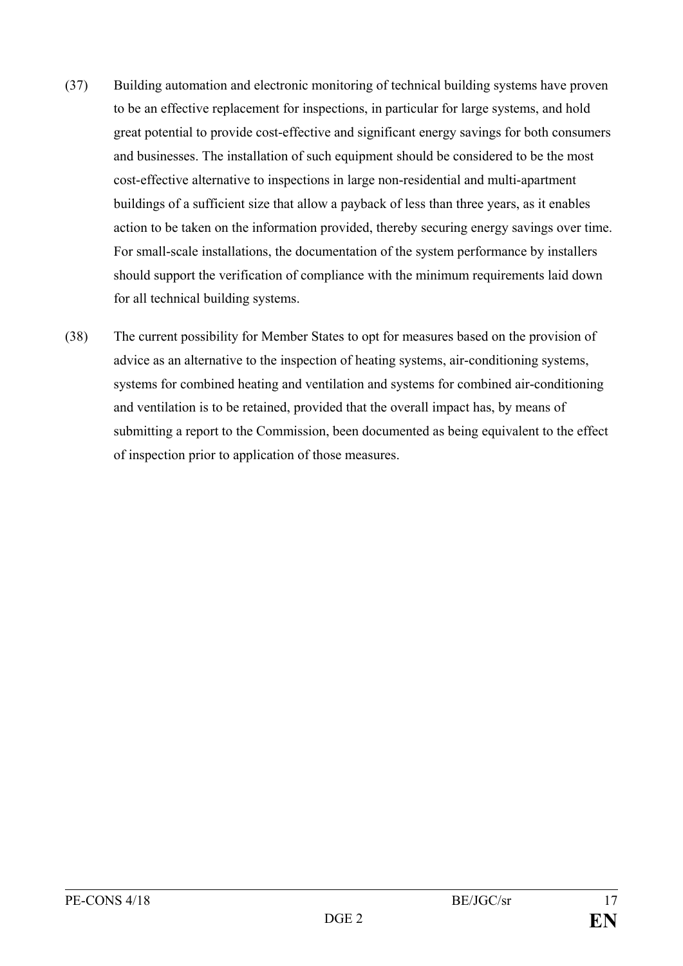- (37) Building automation and electronic monitoring of technical building systems have proven to be an effective replacement for inspections, in particular for large systems, and hold great potential to provide cost-effective and significant energy savings for both consumers and businesses. The installation of such equipment should be considered to be the most cost-effective alternative to inspections in large non-residential and multi-apartment buildings of a sufficient size that allow a payback of less than three years, as it enables action to be taken on the information provided, thereby securing energy savings over time. For small-scale installations, the documentation of the system performance by installers should support the verification of compliance with the minimum requirements laid down for all technical building systems.
- (38) The current possibility for Member States to opt for measures based on the provision of advice as an alternative to the inspection of heating systems, air-conditioning systems, systems for combined heating and ventilation and systems for combined air-conditioning and ventilation is to be retained, provided that the overall impact has, by means of submitting a report to the Commission, been documented as being equivalent to the effect of inspection prior to application of those measures.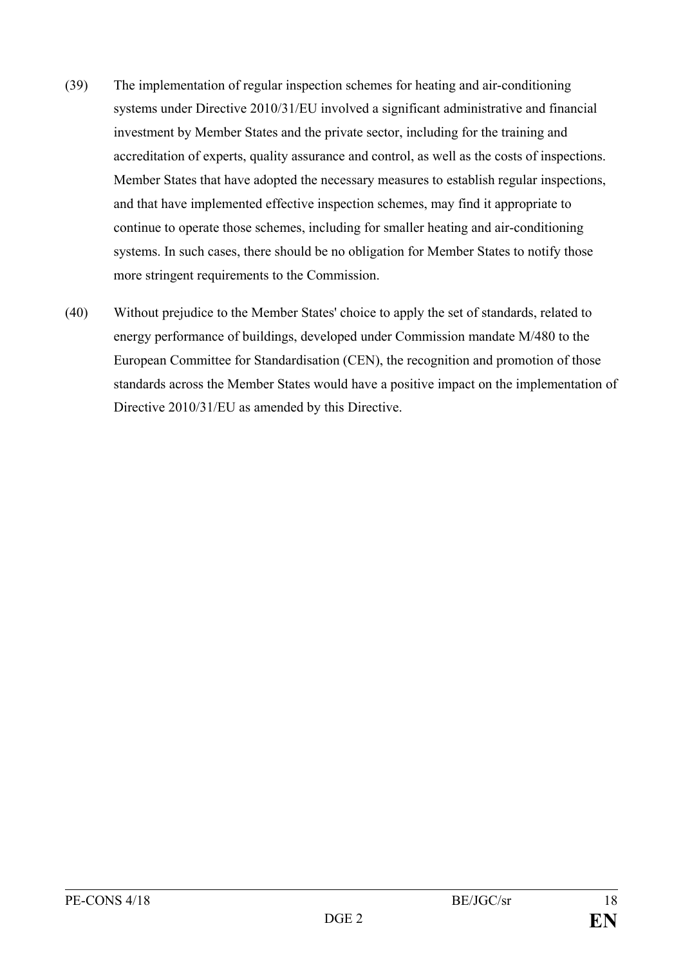- (39) The implementation of regular inspection schemes for heating and air-conditioning systems under Directive 2010/31/EU involved a significant administrative and financial investment by Member States and the private sector, including for the training and accreditation of experts, quality assurance and control, as well as the costs of inspections. Member States that have adopted the necessary measures to establish regular inspections, and that have implemented effective inspection schemes, may find it appropriate to continue to operate those schemes, including for smaller heating and air-conditioning systems. In such cases, there should be no obligation for Member States to notify those more stringent requirements to the Commission.
- (40) Without prejudice to the Member States' choice to apply the set of standards, related to energy performance of buildings, developed under Commission mandate M/480 to the European Committee for Standardisation (CEN), the recognition and promotion of those standards across the Member States would have a positive impact on the implementation of Directive 2010/31/EU as amended by this Directive.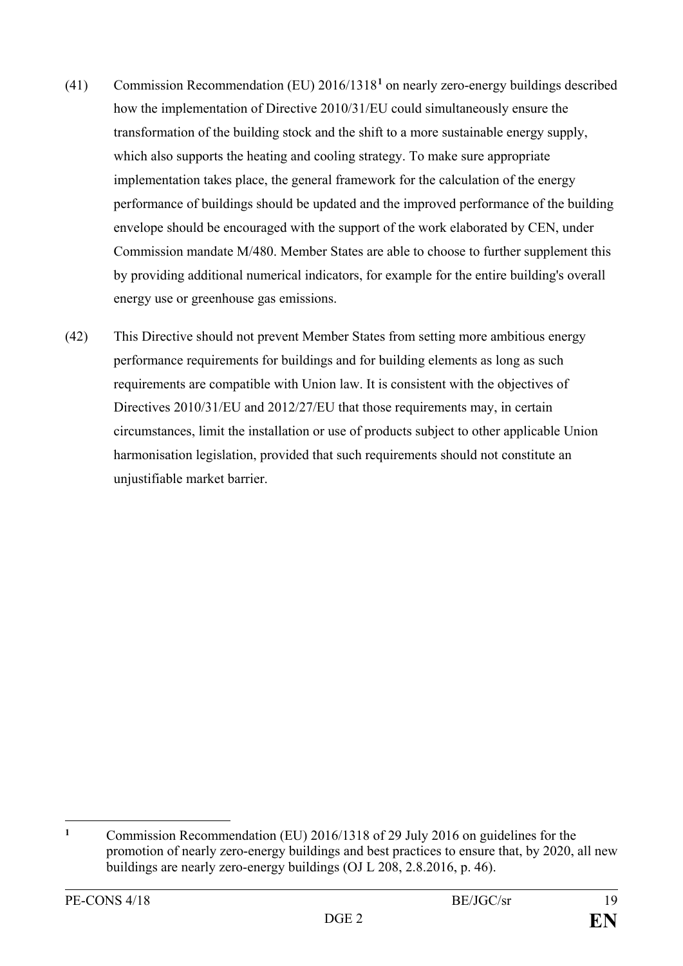- (41) Commission Recommendation (EU) 2016/1318**[1](#page-19-0)** on nearly zero-energy buildings described how the implementation of Directive 2010/31/EU could simultaneously ensure the transformation of the building stock and the shift to a more sustainable energy supply, which also supports the heating and cooling strategy. To make sure appropriate implementation takes place, the general framework for the calculation of the energy performance of buildings should be updated and the improved performance of the building envelope should be encouraged with the support of the work elaborated by CEN, under Commission mandate M/480. Member States are able to choose to further supplement this by providing additional numerical indicators, for example for the entire building's overall energy use or greenhouse gas emissions.
- (42) This Directive should not prevent Member States from setting more ambitious energy performance requirements for buildings and for building elements as long as such requirements are compatible with Union law. It is consistent with the objectives of Directives 2010/31/EU and 2012/27/EU that those requirements may, in certain circumstances, limit the installation or use of products subject to other applicable Union harmonisation legislation, provided that such requirements should not constitute an unjustifiable market barrier.

<span id="page-19-0"></span> $\mathbf{1}$ **<sup>1</sup>** Commission Recommendation (EU) 2016/1318 of 29 July 2016 on guidelines for the promotion of nearly zero-energy buildings and best practices to ensure that, by 2020, all new buildings are nearly zero-energy buildings (OJ L 208, 2.8.2016, p. 46).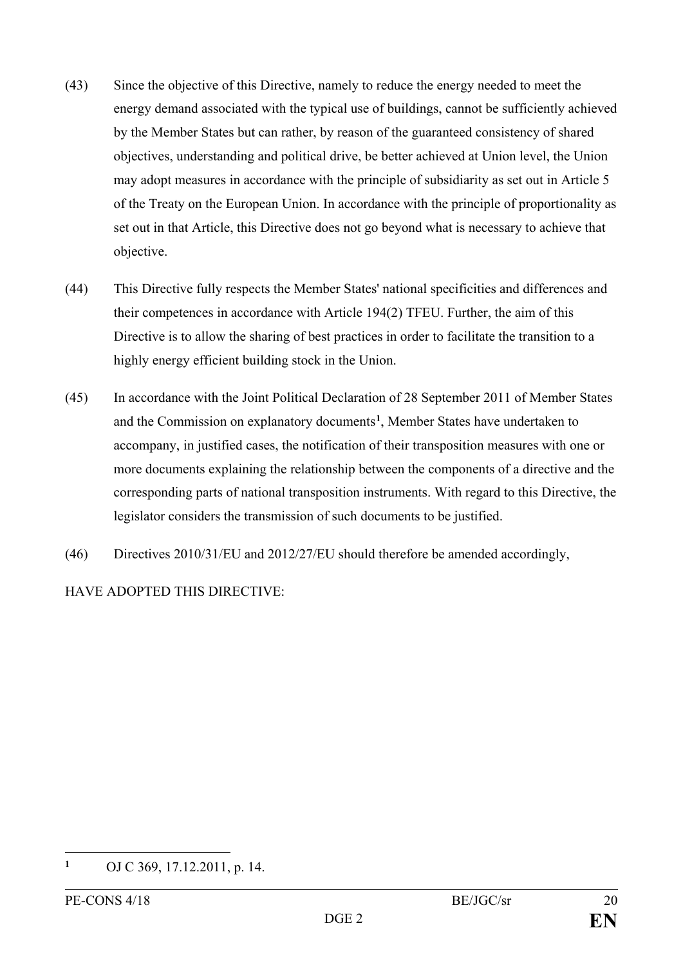- (43) Since the objective of this Directive, namely to reduce the energy needed to meet the energy demand associated with the typical use of buildings, cannot be sufficiently achieved by the Member States but can rather, by reason of the guaranteed consistency of shared objectives, understanding and political drive, be better achieved at Union level, the Union may adopt measures in accordance with the principle of subsidiarity as set out in Article 5 of the Treaty on the European Union. In accordance with the principle of proportionality as set out in that Article, this Directive does not go beyond what is necessary to achieve that objective.
- (44) This Directive fully respects the Member States' national specificities and differences and their competences in accordance with Article 194(2) TFEU. Further, the aim of this Directive is to allow the sharing of best practices in order to facilitate the transition to a highly energy efficient building stock in the Union.
- (45) In accordance with the Joint Political Declaration of 28 September 2011 of Member States and the Commission on explanatory documents**[1](#page-20-0)**, Member States have undertaken to accompany, in justified cases, the notification of their transposition measures with one or more documents explaining the relationship between the components of a directive and the corresponding parts of national transposition instruments. With regard to this Directive, the legislator considers the transmission of such documents to be justified.
- (46) Directives 2010/31/EU and 2012/27/EU should therefore be amended accordingly,

HAVE ADOPTED THIS DIRECTIVE:

<span id="page-20-0"></span> $\mathbf{1}$ **<sup>1</sup>** OJ C 369, 17.12.2011, p. 14.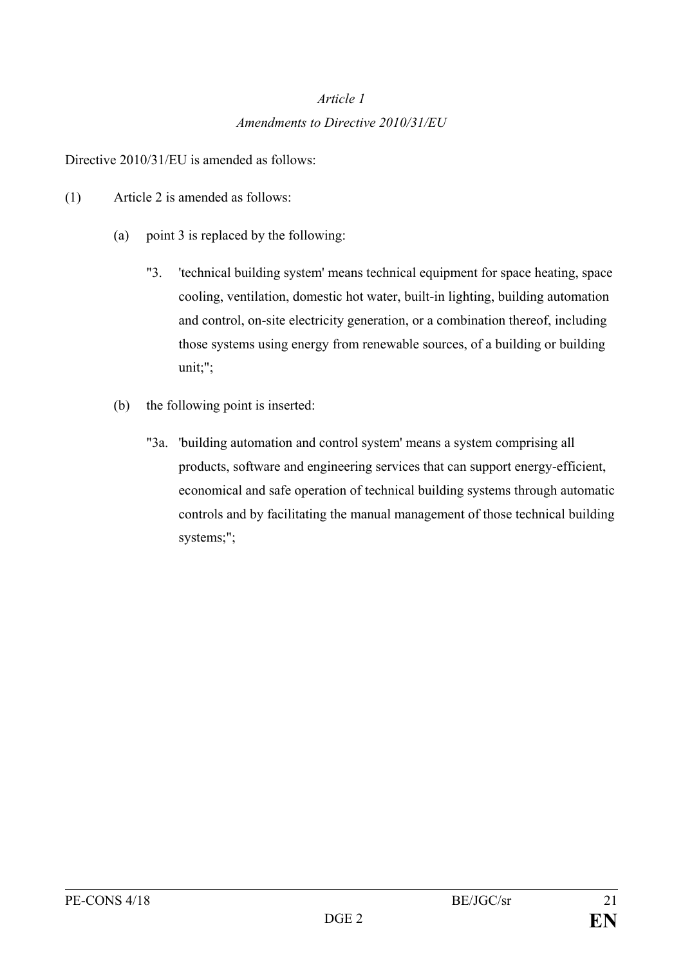# *Article 1 Amendments to Directive 2010/31/EU*

Directive 2010/31/EU is amended as follows:

- (1) Article 2 is amended as follows:
	- (a) point 3 is replaced by the following:
		- "3. 'technical building system' means technical equipment for space heating, space cooling, ventilation, domestic hot water, built-in lighting, building automation and control, on-site electricity generation, or a combination thereof, including those systems using energy from renewable sources, of a building or building unit;";
	- (b) the following point is inserted:
		- "3a. 'building automation and control system' means a system comprising all products, software and engineering services that can support energy-efficient, economical and safe operation of technical building systems through automatic controls and by facilitating the manual management of those technical building systems;";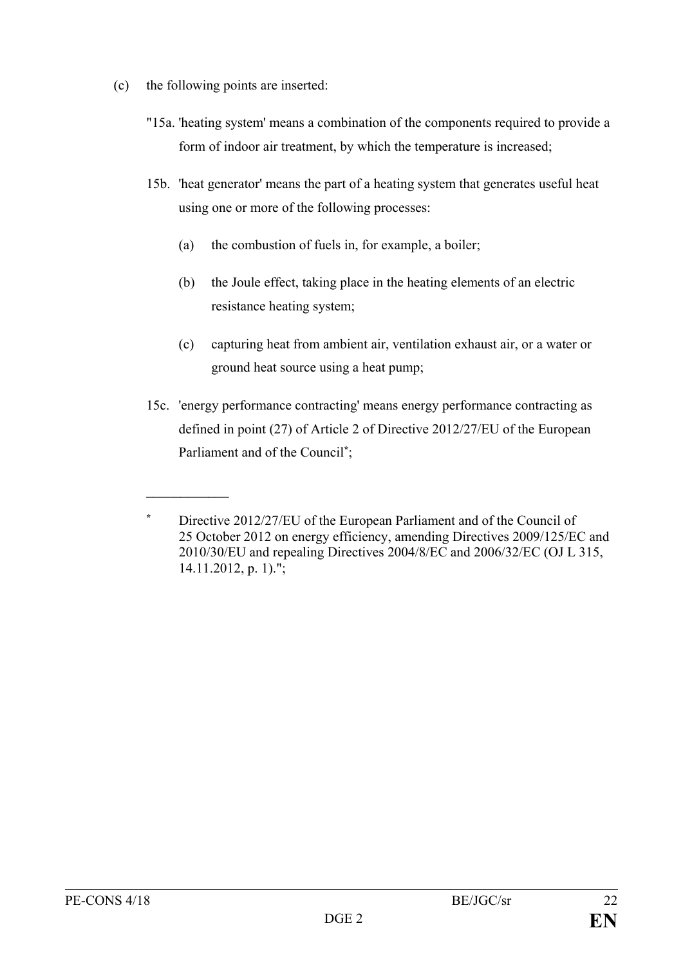(c) the following points are inserted:

 $\frac{1}{2}$ 

- "15a. 'heating system' means a combination of the components required to provide a form of indoor air treatment, by which the temperature is increased;
- 15b. 'heat generator' means the part of a heating system that generates useful heat using one or more of the following processes:
	- (a) the combustion of fuels in, for example, a boiler;
	- (b) the Joule effect, taking place in the heating elements of an electric resistance heating system;
	- (c) capturing heat from ambient air, ventilation exhaust air, or a water or ground heat source using a heat pump;
- 15c. 'energy performance contracting' means energy performance contracting as defined in point (27) of Article 2 of Directive 2012/27/EU of the European Parliament and of the Council**\*** ;

**<sup>\*</sup>** Directive 2012/27/EU of the European Parliament and of the Council of 25 October 2012 on energy efficiency, amending Directives 2009/125/EC and 2010/30/EU and repealing Directives 2004/8/EC and 2006/32/EC (OJ L 315, 14.11.2012, p. 1).";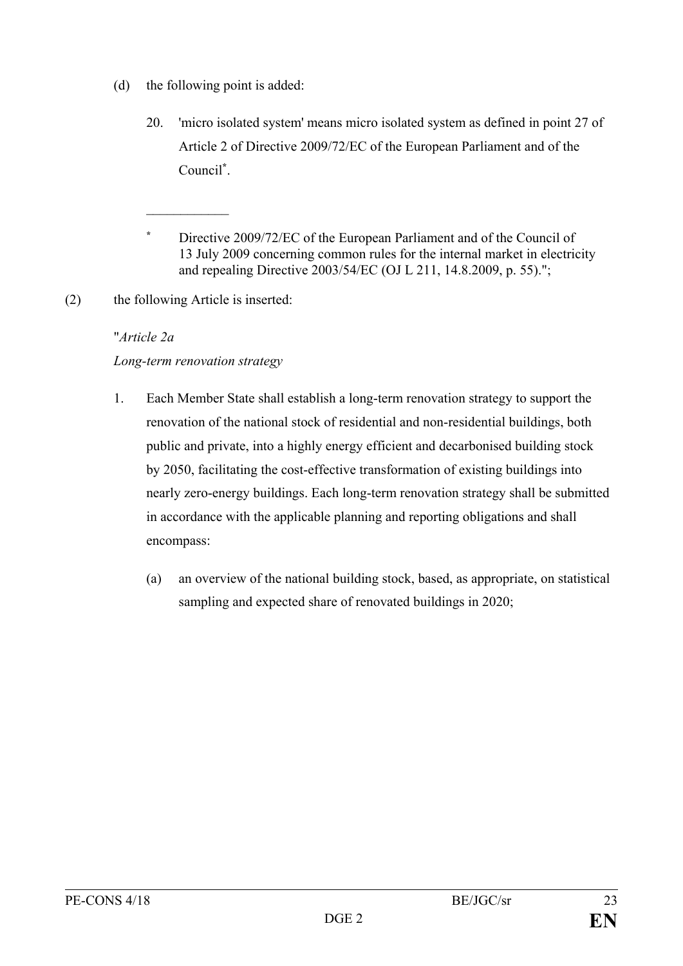- (d) the following point is added:
	- 20. 'micro isolated system' means micro isolated system as defined in point 27 of Article 2 of Directive 2009/72/EC of the European Parliament and of the Council**\*** .
	- **\*** Directive 2009/72/EC of the European Parliament and of the Council of 13 July 2009 concerning common rules for the internal market in electricity and repealing Directive 2003/54/EC (OJ L 211, 14.8.2009, p. 55).";
- (2) the following Article is inserted:

 $\frac{1}{2}$ 

# "*Article 2a*

# *Long-term renovation strategy*

- 1. Each Member State shall establish a long-term renovation strategy to support the renovation of the national stock of residential and non-residential buildings, both public and private, into a highly energy efficient and decarbonised building stock by 2050, facilitating the cost-effective transformation of existing buildings into nearly zero-energy buildings. Each long-term renovation strategy shall be submitted in accordance with the applicable planning and reporting obligations and shall encompass:
	- (a) an overview of the national building stock, based, as appropriate, on statistical sampling and expected share of renovated buildings in 2020;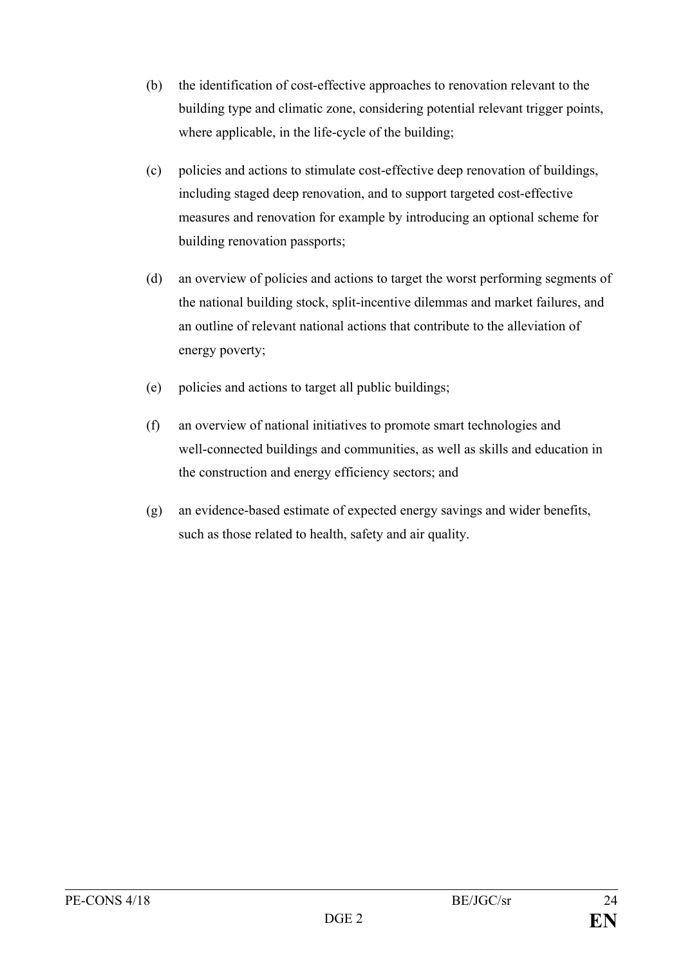- (b) the identification of cost-effective approaches to renovation relevant to the building type and climatic zone, considering potential relevant trigger points, where applicable, in the life-cycle of the building;
- (c) policies and actions to stimulate cost-effective deep renovation of buildings, including staged deep renovation, and to support targeted cost-effective measures and renovation for example by introducing an optional scheme for building renovation passports;
- (d) an overview of policies and actions to target the worst performing segments of the national building stock, split-incentive dilemmas and market failures, and an outline of relevant national actions that contribute to the alleviation of energy poverty;
- (e) policies and actions to target all public buildings;
- (f) an overview of national initiatives to promote smart technologies and well-connected buildings and communities, as well as skills and education in the construction and energy efficiency sectors; and
- (g) an evidence-based estimate of expected energy savings and wider benefits, such as those related to health, safety and air quality.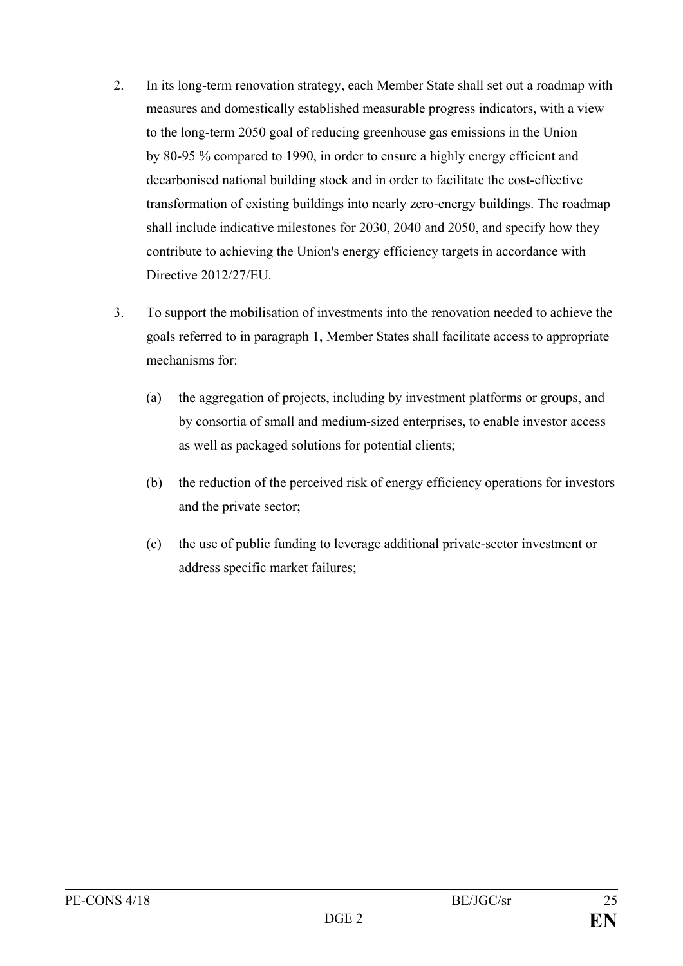- 2. In its long-term renovation strategy, each Member State shall set out a roadmap with measures and domestically established measurable progress indicators, with a view to the long-term 2050 goal of reducing greenhouse gas emissions in the Union by 80-95 % compared to 1990, in order to ensure a highly energy efficient and decarbonised national building stock and in order to facilitate the cost-effective transformation of existing buildings into nearly zero-energy buildings. The roadmap shall include indicative milestones for 2030, 2040 and 2050, and specify how they contribute to achieving the Union's energy efficiency targets in accordance with Directive 2012/27/EU.
- 3. To support the mobilisation of investments into the renovation needed to achieve the goals referred to in paragraph 1, Member States shall facilitate access to appropriate mechanisms for:
	- (a) the aggregation of projects, including by investment platforms or groups, and by consortia of small and medium-sized enterprises, to enable investor access as well as packaged solutions for potential clients;
	- (b) the reduction of the perceived risk of energy efficiency operations for investors and the private sector;
	- (c) the use of public funding to leverage additional private-sector investment or address specific market failures;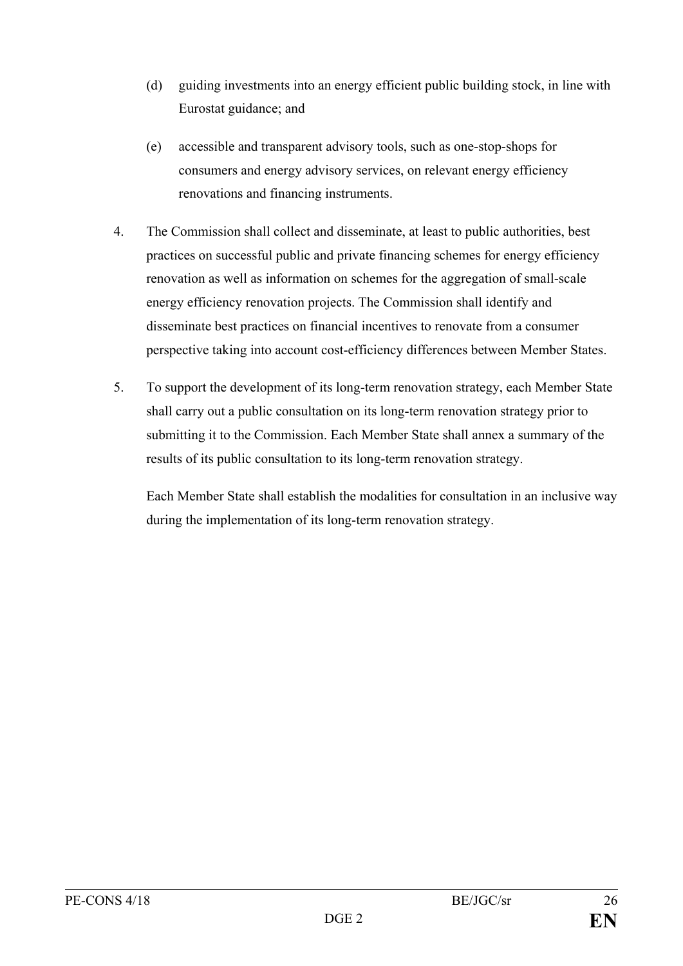- (d) guiding investments into an energy efficient public building stock, in line with Eurostat guidance; and
- (e) accessible and transparent advisory tools, such as one-stop-shops for consumers and energy advisory services, on relevant energy efficiency renovations and financing instruments.
- 4. The Commission shall collect and disseminate, at least to public authorities, best practices on successful public and private financing schemes for energy efficiency renovation as well as information on schemes for the aggregation of small-scale energy efficiency renovation projects. The Commission shall identify and disseminate best practices on financial incentives to renovate from a consumer perspective taking into account cost-efficiency differences between Member States.
- 5. To support the development of its long-term renovation strategy, each Member State shall carry out a public consultation on its long-term renovation strategy prior to submitting it to the Commission. Each Member State shall annex a summary of the results of its public consultation to its long-term renovation strategy.

Each Member State shall establish the modalities for consultation in an inclusive way during the implementation of its long-term renovation strategy.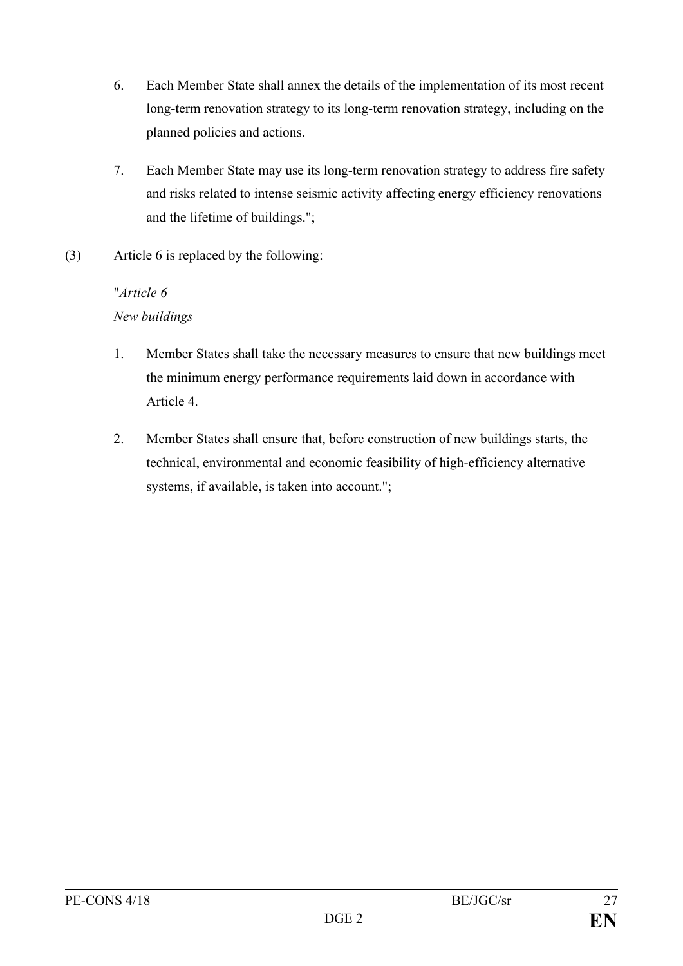- 6. Each Member State shall annex the details of the implementation of its most recent long-term renovation strategy to its long-term renovation strategy, including on the planned policies and actions.
- 7. Each Member State may use its long-term renovation strategy to address fire safety and risks related to intense seismic activity affecting energy efficiency renovations and the lifetime of buildings.";
- (3) Article 6 is replaced by the following:

# "*Article 6*

# *New buildings*

- 1. Member States shall take the necessary measures to ensure that new buildings meet the minimum energy performance requirements laid down in accordance with Article 4.
- 2. Member States shall ensure that, before construction of new buildings starts, the technical, environmental and economic feasibility of high-efficiency alternative systems, if available, is taken into account.";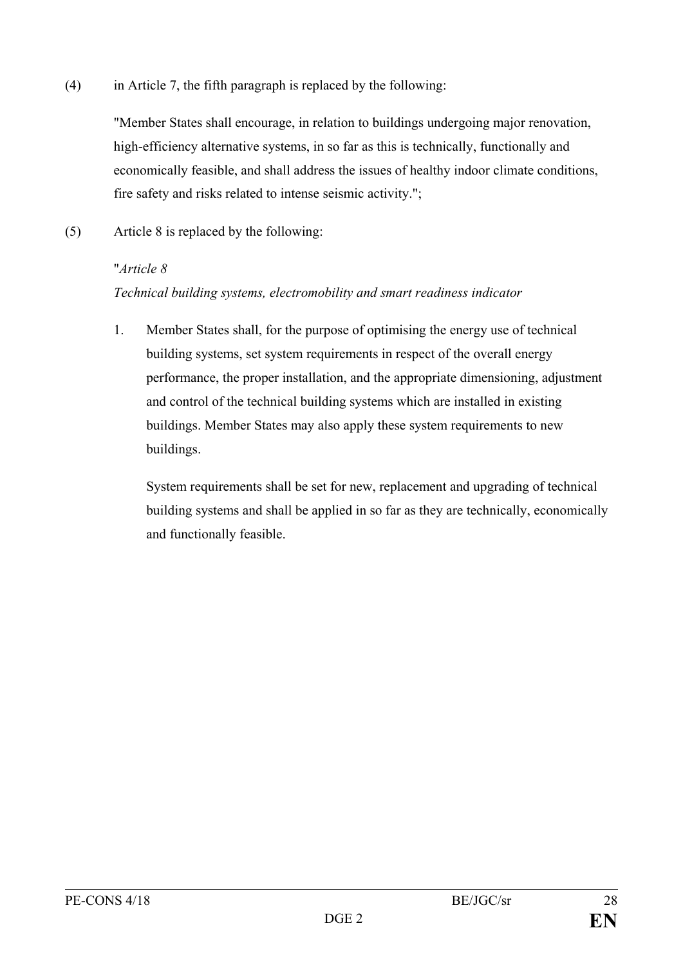(4) in Article 7, the fifth paragraph is replaced by the following:

"Member States shall encourage, in relation to buildings undergoing major renovation, high-efficiency alternative systems, in so far as this is technically, functionally and economically feasible, and shall address the issues of healthy indoor climate conditions, fire safety and risks related to intense seismic activity.";

(5) Article 8 is replaced by the following:

### "*Article 8*

# *Technical building systems, electromobility and smart readiness indicator*

1. Member States shall, for the purpose of optimising the energy use of technical building systems, set system requirements in respect of the overall energy performance, the proper installation, and the appropriate dimensioning, adjustment and control of the technical building systems which are installed in existing buildings. Member States may also apply these system requirements to new buildings.

System requirements shall be set for new, replacement and upgrading of technical building systems and shall be applied in so far as they are technically, economically and functionally feasible.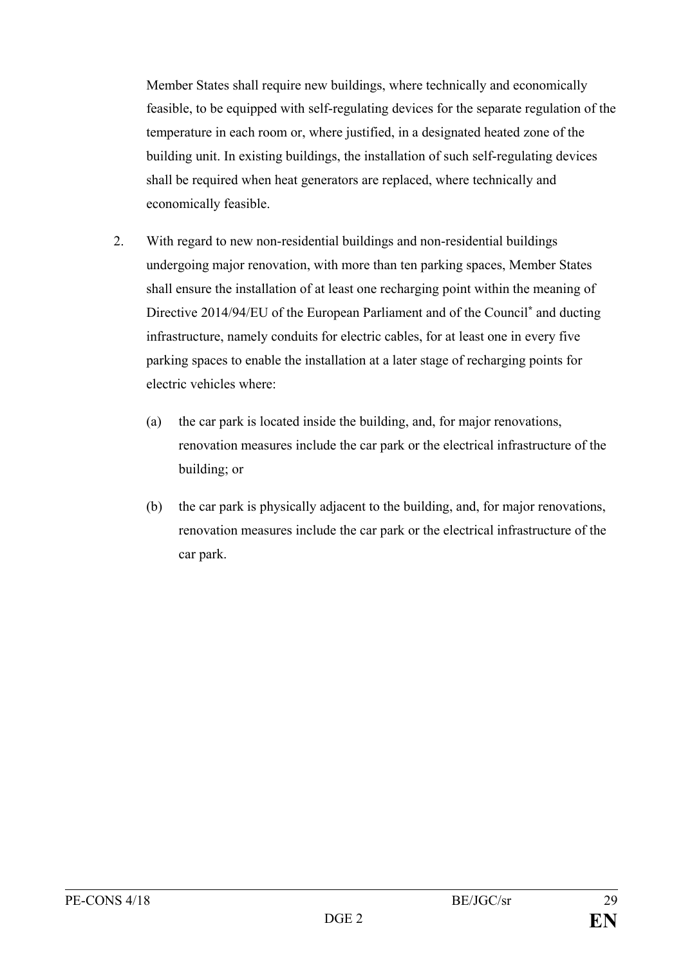Member States shall require new buildings, where technically and economically feasible, to be equipped with self-regulating devices for the separate regulation of the temperature in each room or, where justified, in a designated heated zone of the building unit. In existing buildings, the installation of such self-regulating devices shall be required when heat generators are replaced, where technically and economically feasible.

- 2. With regard to new non-residential buildings and non-residential buildings undergoing major renovation, with more than ten parking spaces, Member States shall ensure the installation of at least one recharging point within the meaning of Directive 2014/94/EU of the European Parliament and of the Council**\*** and ducting infrastructure, namely conduits for electric cables, for at least one in every five parking spaces to enable the installation at a later stage of recharging points for electric vehicles where:
	- (a) the car park is located inside the building, and, for major renovations, renovation measures include the car park or the electrical infrastructure of the building; or
	- (b) the car park is physically adjacent to the building, and, for major renovations, renovation measures include the car park or the electrical infrastructure of the car park.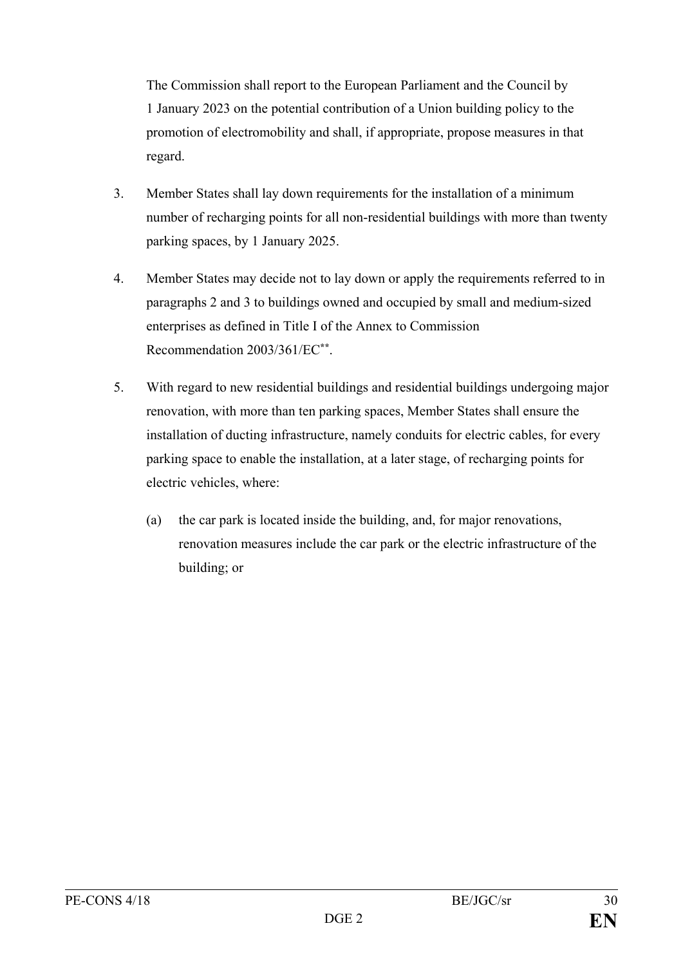The Commission shall report to the European Parliament and the Council by 1 January 2023 on the potential contribution of a Union building policy to the promotion of electromobility and shall, if appropriate, propose measures in that regard.

- 3. Member States shall lay down requirements for the installation of a minimum number of recharging points for all non-residential buildings with more than twenty parking spaces, by 1 January 2025.
- 4. Member States may decide not to lay down or apply the requirements referred to in paragraphs 2 and 3 to buildings owned and occupied by small and medium-sized enterprises as defined in Title I of the Annex to Commission Recommendation 2003/361/EC**\*\***.
- 5. With regard to new residential buildings and residential buildings undergoing major renovation, with more than ten parking spaces, Member States shall ensure the installation of ducting infrastructure, namely conduits for electric cables, for every parking space to enable the installation, at a later stage, of recharging points for electric vehicles, where:
	- (a) the car park is located inside the building, and, for major renovations, renovation measures include the car park or the electric infrastructure of the building; or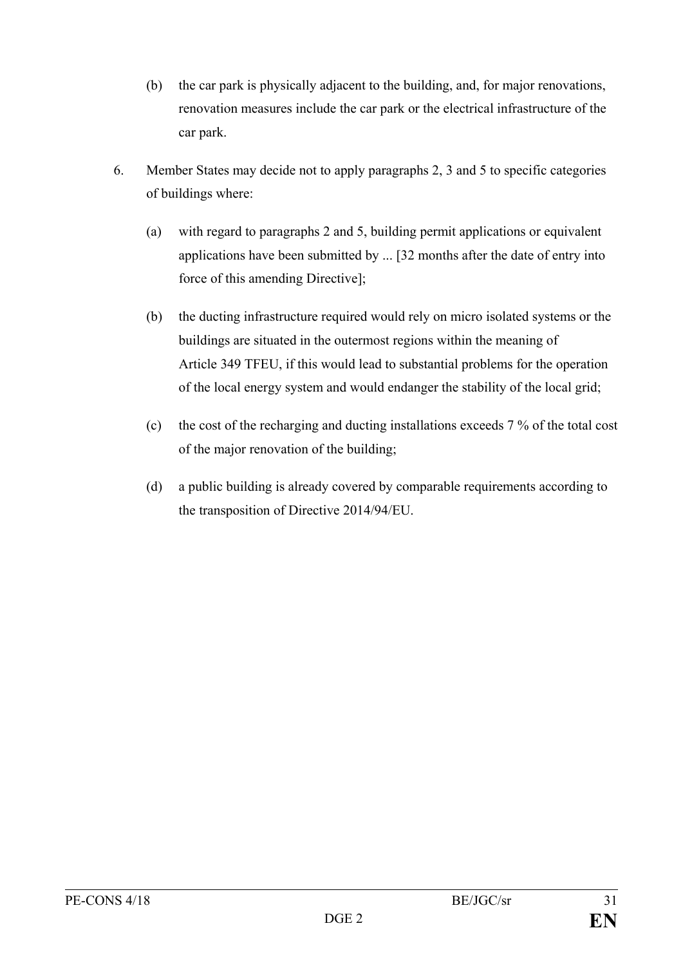- (b) the car park is physically adjacent to the building, and, for major renovations, renovation measures include the car park or the electrical infrastructure of the car park.
- 6. Member States may decide not to apply paragraphs 2, 3 and 5 to specific categories of buildings where:
	- (a) with regard to paragraphs 2 and 5, building permit applications or equivalent applications have been submitted by ... [32 months after the date of entry into force of this amending Directive];
	- (b) the ducting infrastructure required would rely on micro isolated systems or the buildings are situated in the outermost regions within the meaning of Article 349 TFEU, if this would lead to substantial problems for the operation of the local energy system and would endanger the stability of the local grid;
	- (c) the cost of the recharging and ducting installations exceeds 7 % of the total cost of the major renovation of the building;
	- (d) a public building is already covered by comparable requirements according to the transposition of Directive 2014/94/EU.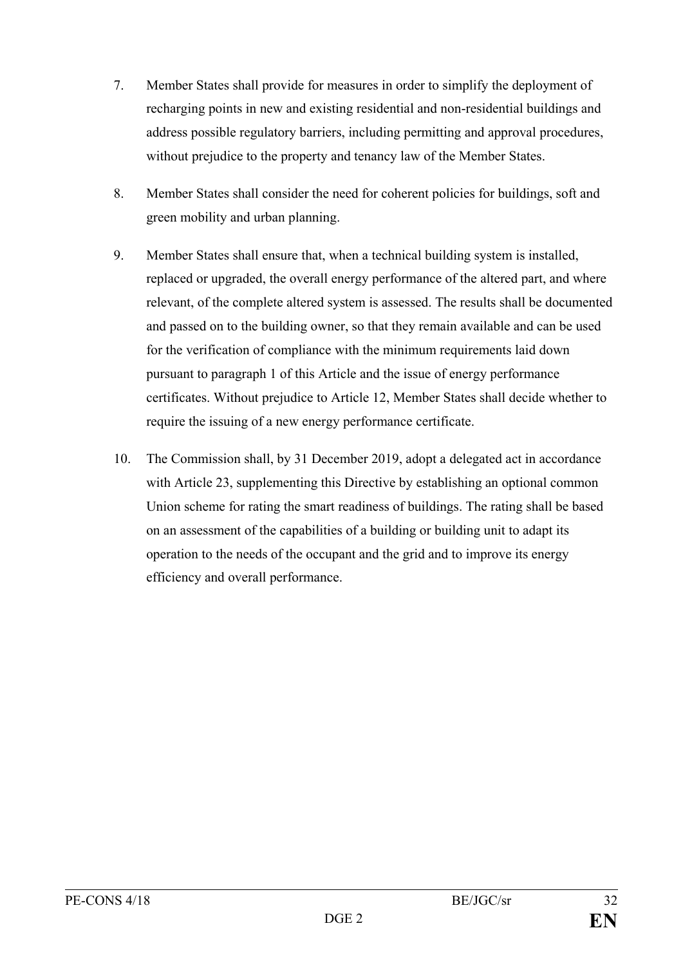- 7. Member States shall provide for measures in order to simplify the deployment of recharging points in new and existing residential and non-residential buildings and address possible regulatory barriers, including permitting and approval procedures, without prejudice to the property and tenancy law of the Member States.
- 8. Member States shall consider the need for coherent policies for buildings, soft and green mobility and urban planning.
- 9. Member States shall ensure that, when a technical building system is installed, replaced or upgraded, the overall energy performance of the altered part, and where relevant, of the complete altered system is assessed. The results shall be documented and passed on to the building owner, so that they remain available and can be used for the verification of compliance with the minimum requirements laid down pursuant to paragraph 1 of this Article and the issue of energy performance certificates. Without prejudice to Article 12, Member States shall decide whether to require the issuing of a new energy performance certificate.
- 10. The Commission shall, by 31 December 2019, adopt a delegated act in accordance with Article 23, supplementing this Directive by establishing an optional common Union scheme for rating the smart readiness of buildings. The rating shall be based on an assessment of the capabilities of a building or building unit to adapt its operation to the needs of the occupant and the grid and to improve its energy efficiency and overall performance.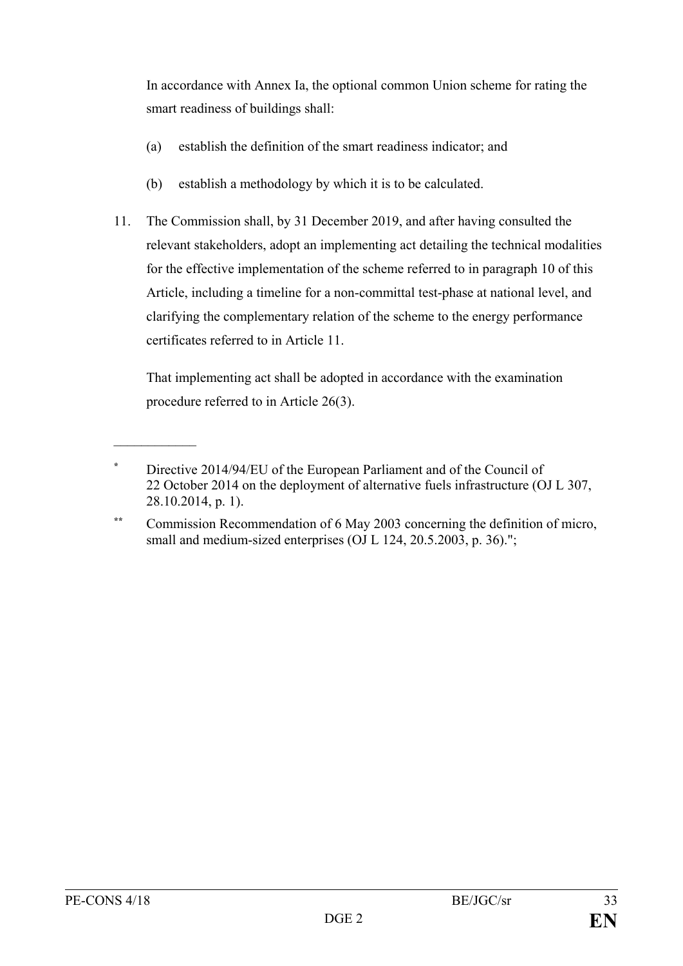In accordance with Annex Ia, the optional common Union scheme for rating the smart readiness of buildings shall:

- (a) establish the definition of the smart readiness indicator; and
- (b) establish a methodology by which it is to be calculated.
- 11. The Commission shall, by 31 December 2019, and after having consulted the relevant stakeholders, adopt an implementing act detailing the technical modalities for the effective implementation of the scheme referred to in paragraph 10 of this Article, including a timeline for a non-committal test-phase at national level, and clarifying the complementary relation of the scheme to the energy performance certificates referred to in Article 11.

That implementing act shall be adopted in accordance with the examination procedure referred to in Article 26(3).

 $\mathcal{L}$  , we have the set of  $\mathcal{L}$ 

**<sup>\*</sup>** Directive 2014/94/EU of the European Parliament and of the Council of 22 October 2014 on the deployment of alternative fuels infrastructure (OJ L 307, 28.10.2014, p. 1).

**<sup>\*\*</sup>** Commission Recommendation of 6 May 2003 concerning the definition of micro, small and medium-sized enterprises (OJ L 124, 20.5.2003, p. 36).";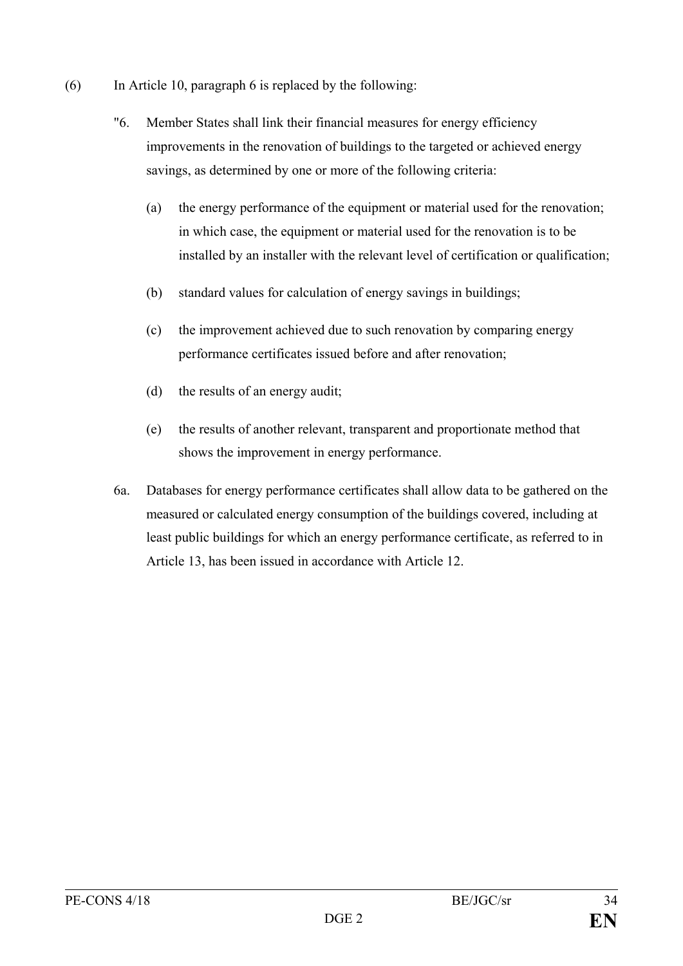- (6) In Article 10, paragraph 6 is replaced by the following:
	- "6. Member States shall link their financial measures for energy efficiency improvements in the renovation of buildings to the targeted or achieved energy savings, as determined by one or more of the following criteria:
		- (a) the energy performance of the equipment or material used for the renovation; in which case, the equipment or material used for the renovation is to be installed by an installer with the relevant level of certification or qualification;
		- (b) standard values for calculation of energy savings in buildings;
		- (c) the improvement achieved due to such renovation by comparing energy performance certificates issued before and after renovation;
		- (d) the results of an energy audit;
		- (e) the results of another relevant, transparent and proportionate method that shows the improvement in energy performance.
	- 6a. Databases for energy performance certificates shall allow data to be gathered on the measured or calculated energy consumption of the buildings covered, including at least public buildings for which an energy performance certificate, as referred to in Article 13, has been issued in accordance with Article 12.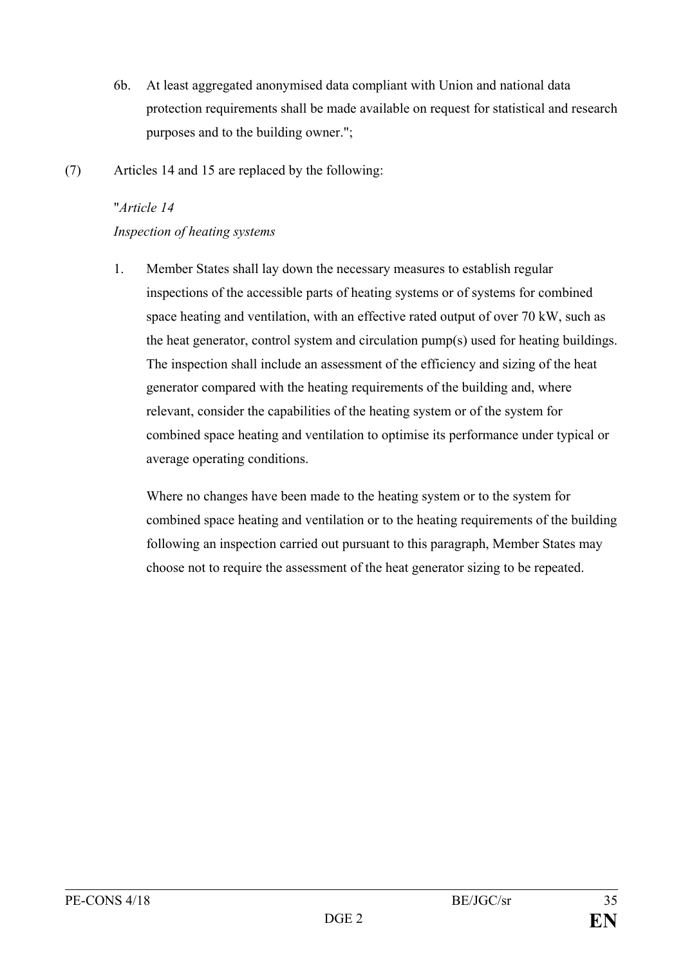- 6b. At least aggregated anonymised data compliant with Union and national data protection requirements shall be made available on request for statistical and research purposes and to the building owner.";
- (7) Articles 14 and 15 are replaced by the following:

# "*Article 14*

# *Inspection of heating systems*

1. Member States shall lay down the necessary measures to establish regular inspections of the accessible parts of heating systems or of systems for combined space heating and ventilation, with an effective rated output of over 70 kW, such as the heat generator, control system and circulation pump(s) used for heating buildings. The inspection shall include an assessment of the efficiency and sizing of the heat generator compared with the heating requirements of the building and, where relevant, consider the capabilities of the heating system or of the system for combined space heating and ventilation to optimise its performance under typical or average operating conditions.

Where no changes have been made to the heating system or to the system for combined space heating and ventilation or to the heating requirements of the building following an inspection carried out pursuant to this paragraph, Member States may choose not to require the assessment of the heat generator sizing to be repeated.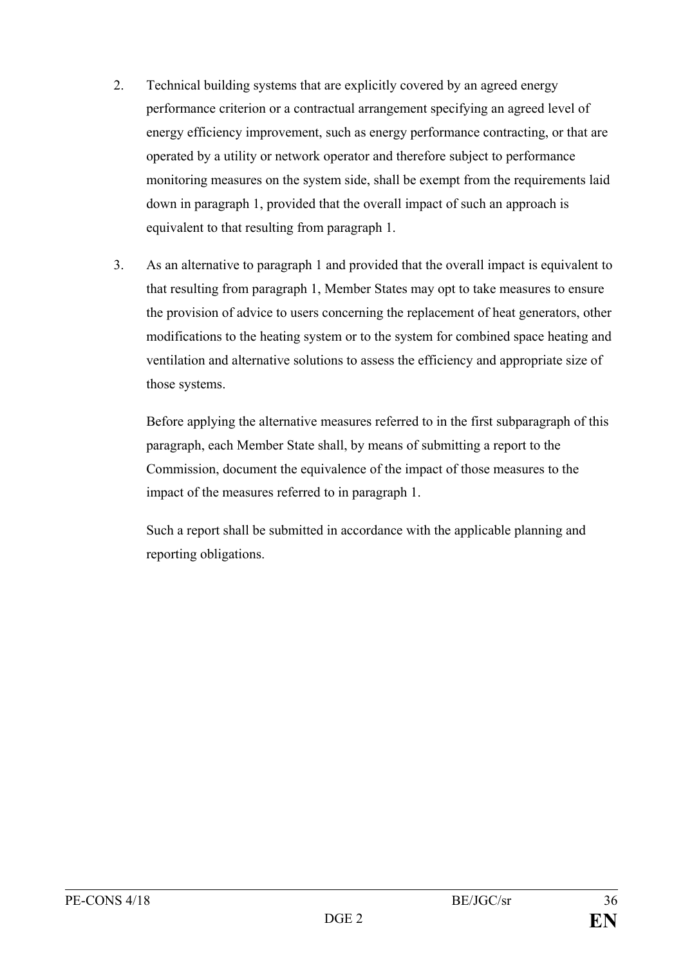- 2. Technical building systems that are explicitly covered by an agreed energy performance criterion or a contractual arrangement specifying an agreed level of energy efficiency improvement, such as energy performance contracting, or that are operated by a utility or network operator and therefore subject to performance monitoring measures on the system side, shall be exempt from the requirements laid down in paragraph 1, provided that the overall impact of such an approach is equivalent to that resulting from paragraph 1.
- 3. As an alternative to paragraph 1 and provided that the overall impact is equivalent to that resulting from paragraph 1, Member States may opt to take measures to ensure the provision of advice to users concerning the replacement of heat generators, other modifications to the heating system or to the system for combined space heating and ventilation and alternative solutions to assess the efficiency and appropriate size of those systems.

Before applying the alternative measures referred to in the first subparagraph of this paragraph, each Member State shall, by means of submitting a report to the Commission, document the equivalence of the impact of those measures to the impact of the measures referred to in paragraph 1.

Such a report shall be submitted in accordance with the applicable planning and reporting obligations.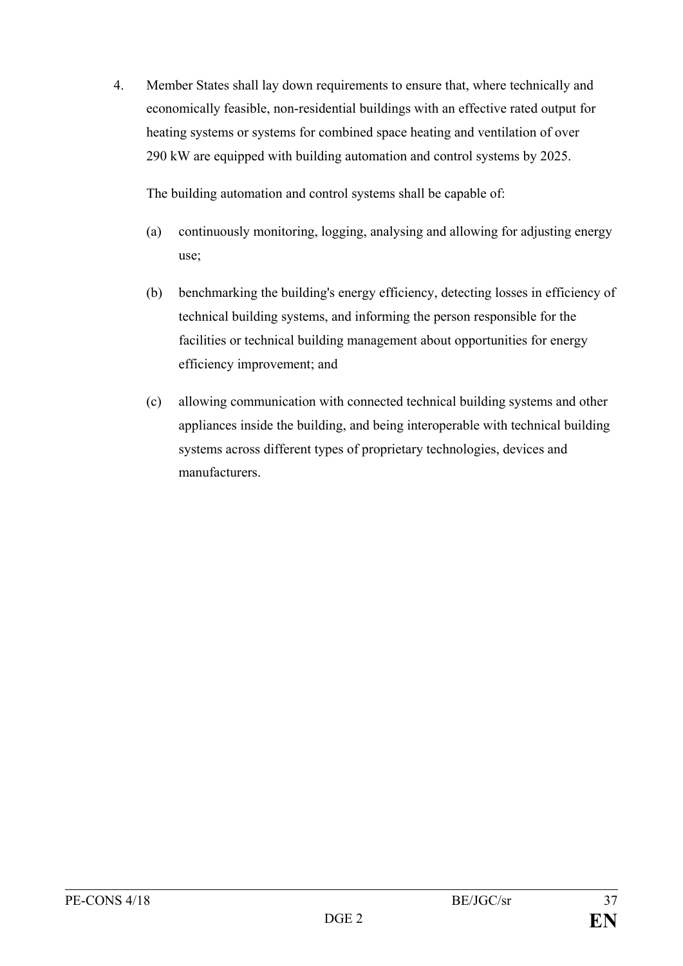4. Member States shall lay down requirements to ensure that, where technically and economically feasible, non-residential buildings with an effective rated output for heating systems or systems for combined space heating and ventilation of over 290 kW are equipped with building automation and control systems by 2025.

The building automation and control systems shall be capable of:

- (a) continuously monitoring, logging, analysing and allowing for adjusting energy use;
- (b) benchmarking the building's energy efficiency, detecting losses in efficiency of technical building systems, and informing the person responsible for the facilities or technical building management about opportunities for energy efficiency improvement; and
- (c) allowing communication with connected technical building systems and other appliances inside the building, and being interoperable with technical building systems across different types of proprietary technologies, devices and manufacturers.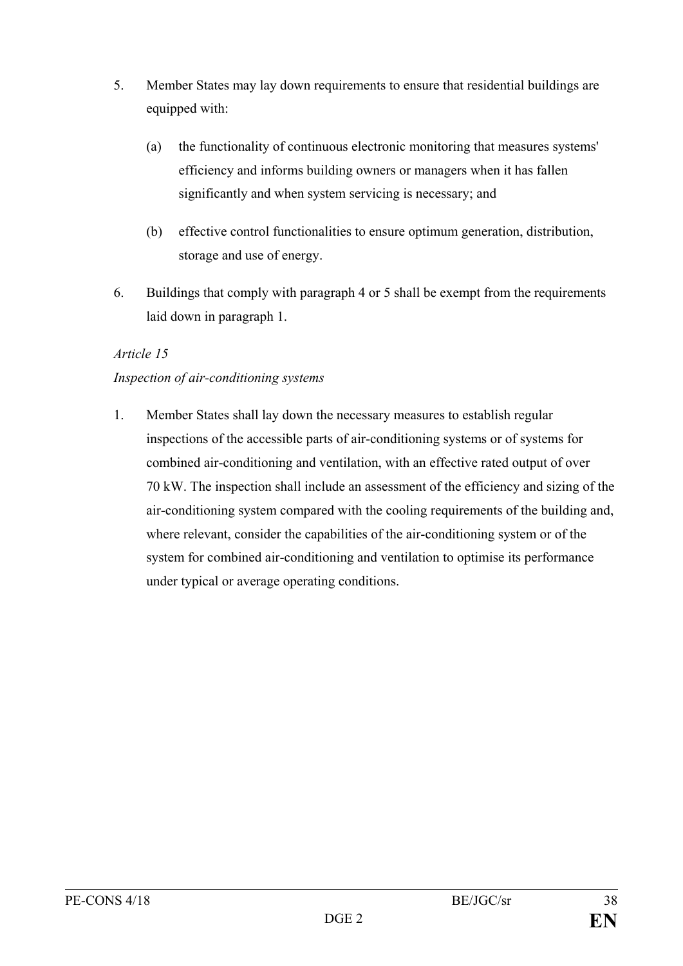- 5. Member States may lay down requirements to ensure that residential buildings are equipped with:
	- (a) the functionality of continuous electronic monitoring that measures systems' efficiency and informs building owners or managers when it has fallen significantly and when system servicing is necessary; and
	- (b) effective control functionalities to ensure optimum generation, distribution, storage and use of energy.
- 6. Buildings that comply with paragraph 4 or 5 shall be exempt from the requirements laid down in paragraph 1.

### *Article 15*

# *Inspection of air-conditioning systems*

1. Member States shall lay down the necessary measures to establish regular inspections of the accessible parts of air-conditioning systems or of systems for combined air-conditioning and ventilation, with an effective rated output of over 70 kW. The inspection shall include an assessment of the efficiency and sizing of the air-conditioning system compared with the cooling requirements of the building and, where relevant, consider the capabilities of the air-conditioning system or of the system for combined air-conditioning and ventilation to optimise its performance under typical or average operating conditions.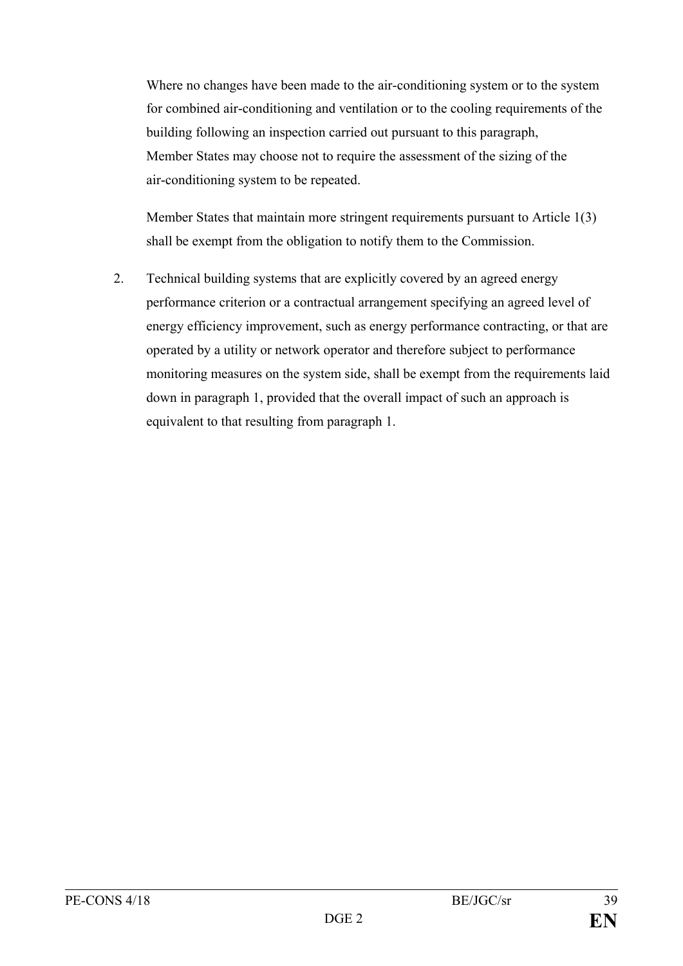Where no changes have been made to the air-conditioning system or to the system for combined air-conditioning and ventilation or to the cooling requirements of the building following an inspection carried out pursuant to this paragraph, Member States may choose not to require the assessment of the sizing of the air-conditioning system to be repeated.

Member States that maintain more stringent requirements pursuant to Article 1(3) shall be exempt from the obligation to notify them to the Commission.

2. Technical building systems that are explicitly covered by an agreed energy performance criterion or a contractual arrangement specifying an agreed level of energy efficiency improvement, such as energy performance contracting, or that are operated by a utility or network operator and therefore subject to performance monitoring measures on the system side, shall be exempt from the requirements laid down in paragraph 1, provided that the overall impact of such an approach is equivalent to that resulting from paragraph 1.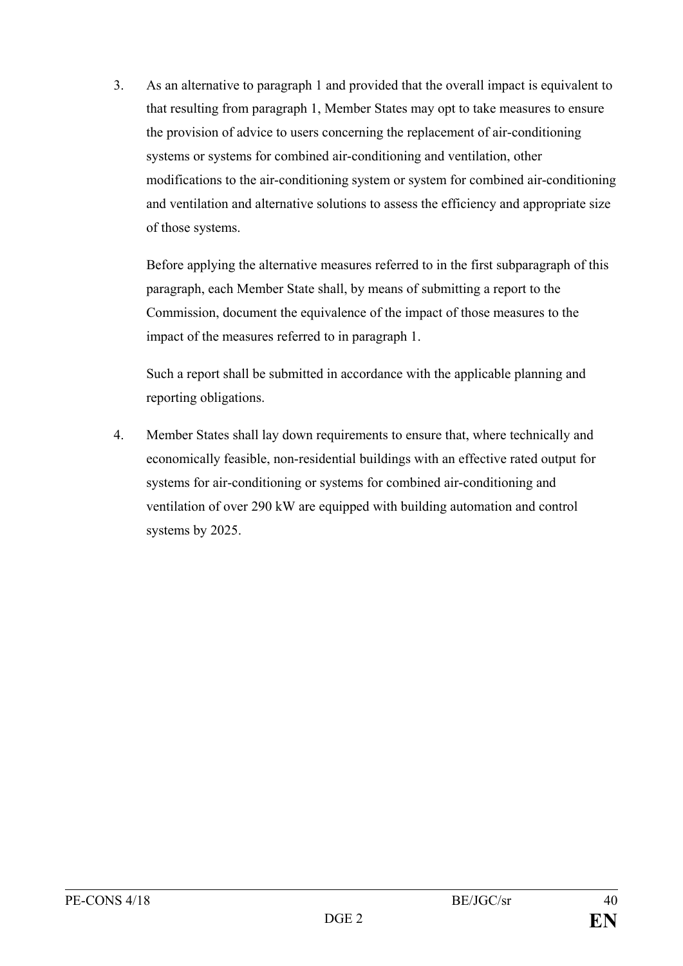3. As an alternative to paragraph 1 and provided that the overall impact is equivalent to that resulting from paragraph 1, Member States may opt to take measures to ensure the provision of advice to users concerning the replacement of air-conditioning systems or systems for combined air-conditioning and ventilation, other modifications to the air-conditioning system or system for combined air-conditioning and ventilation and alternative solutions to assess the efficiency and appropriate size of those systems.

Before applying the alternative measures referred to in the first subparagraph of this paragraph, each Member State shall, by means of submitting a report to the Commission, document the equivalence of the impact of those measures to the impact of the measures referred to in paragraph 1.

Such a report shall be submitted in accordance with the applicable planning and reporting obligations.

4. Member States shall lay down requirements to ensure that, where technically and economically feasible, non-residential buildings with an effective rated output for systems for air-conditioning or systems for combined air-conditioning and ventilation of over 290 kW are equipped with building automation and control systems by 2025.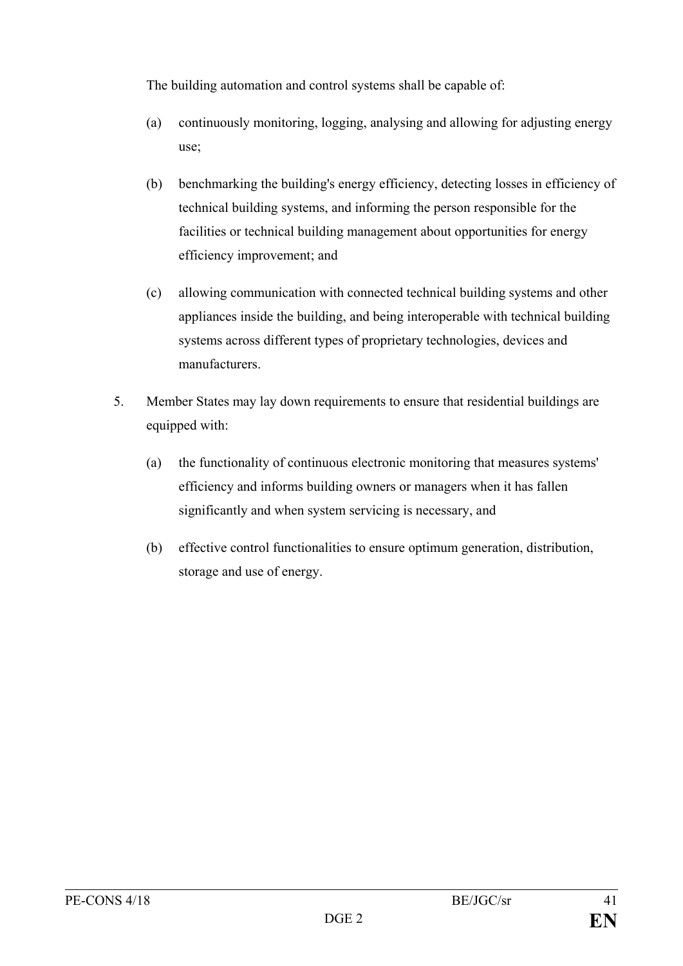The building automation and control systems shall be capable of:

- (a) continuously monitoring, logging, analysing and allowing for adjusting energy use;
- (b) benchmarking the building's energy efficiency, detecting losses in efficiency of technical building systems, and informing the person responsible for the facilities or technical building management about opportunities for energy efficiency improvement; and
- (c) allowing communication with connected technical building systems and other appliances inside the building, and being interoperable with technical building systems across different types of proprietary technologies, devices and manufacturers.
- 5. Member States may lay down requirements to ensure that residential buildings are equipped with:
	- (a) the functionality of continuous electronic monitoring that measures systems' efficiency and informs building owners or managers when it has fallen significantly and when system servicing is necessary, and
	- (b) effective control functionalities to ensure optimum generation, distribution, storage and use of energy.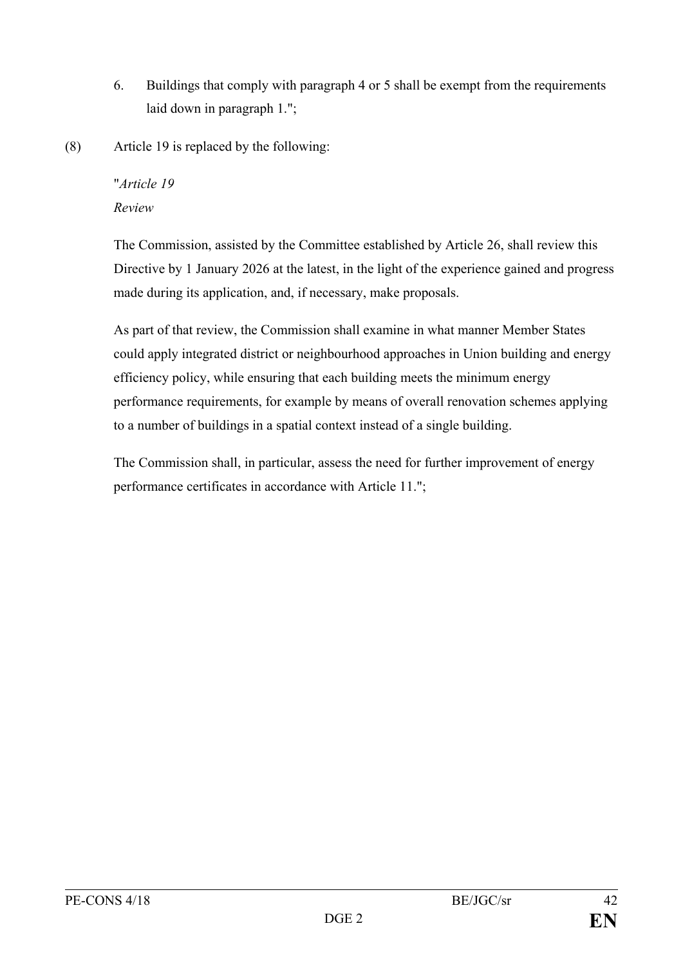- 6. Buildings that comply with paragraph 4 or 5 shall be exempt from the requirements laid down in paragraph 1.";
- (8) Article 19 is replaced by the following:

# "*Article 19 Review*

The Commission, assisted by the Committee established by Article 26, shall review this Directive by 1 January 2026 at the latest, in the light of the experience gained and progress made during its application, and, if necessary, make proposals.

As part of that review, the Commission shall examine in what manner Member States could apply integrated district or neighbourhood approaches in Union building and energy efficiency policy, while ensuring that each building meets the minimum energy performance requirements, for example by means of overall renovation schemes applying to a number of buildings in a spatial context instead of a single building.

The Commission shall, in particular, assess the need for further improvement of energy performance certificates in accordance with Article 11.";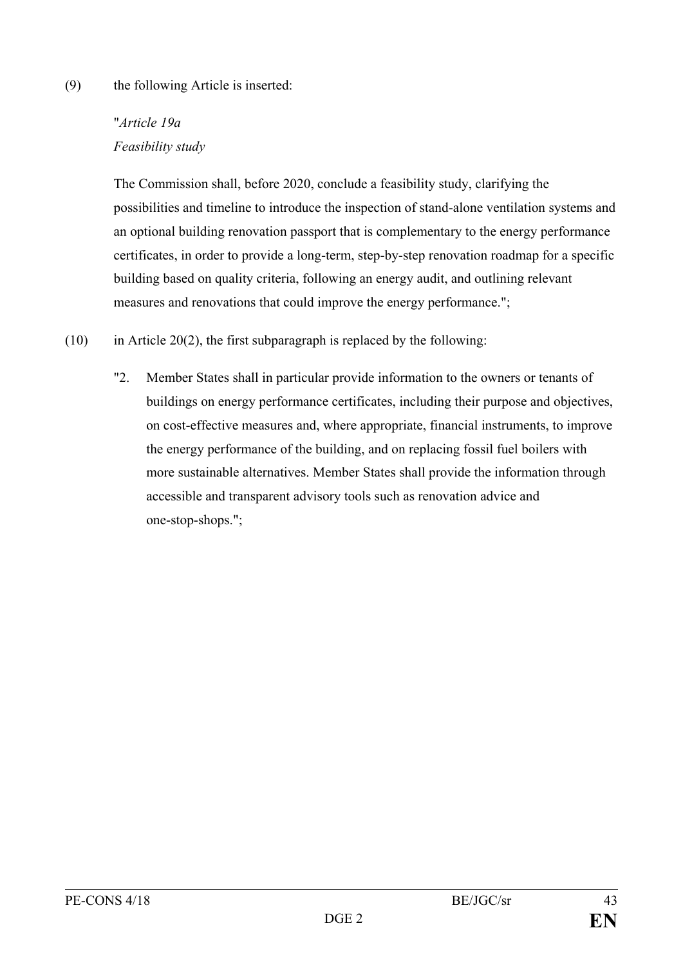#### (9) the following Article is inserted:

# "*Article 19a Feasibility study*

The Commission shall, before 2020, conclude a feasibility study, clarifying the possibilities and timeline to introduce the inspection of stand-alone ventilation systems and an optional building renovation passport that is complementary to the energy performance certificates, in order to provide a long-term, step-by-step renovation roadmap for a specific building based on quality criteria, following an energy audit, and outlining relevant measures and renovations that could improve the energy performance.";

- $(10)$  in Article 20(2), the first subparagraph is replaced by the following:
	- "2. Member States shall in particular provide information to the owners or tenants of buildings on energy performance certificates, including their purpose and objectives, on cost-effective measures and, where appropriate, financial instruments, to improve the energy performance of the building, and on replacing fossil fuel boilers with more sustainable alternatives. Member States shall provide the information through accessible and transparent advisory tools such as renovation advice and one-stop-shops.";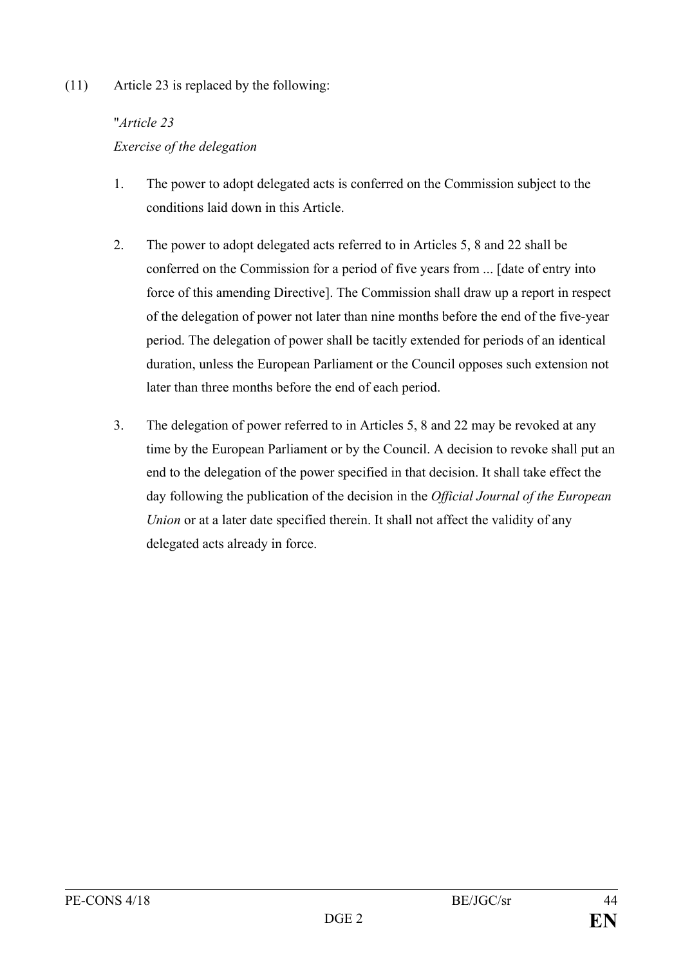# (11) Article 23 is replaced by the following:

# "*Article 23*

# *Exercise of the delegation*

- 1. The power to adopt delegated acts is conferred on the Commission subject to the conditions laid down in this Article.
- 2. The power to adopt delegated acts referred to in Articles 5, 8 and 22 shall be conferred on the Commission for a period of five years from ... [date of entry into force of this amending Directive]. The Commission shall draw up a report in respect of the delegation of power not later than nine months before the end of the five-year period. The delegation of power shall be tacitly extended for periods of an identical duration, unless the European Parliament or the Council opposes such extension not later than three months before the end of each period.
- 3. The delegation of power referred to in Articles 5, 8 and 22 may be revoked at any time by the European Parliament or by the Council. A decision to revoke shall put an end to the delegation of the power specified in that decision. It shall take effect the day following the publication of the decision in the *Official Journal of the European Union* or at a later date specified therein. It shall not affect the validity of any delegated acts already in force.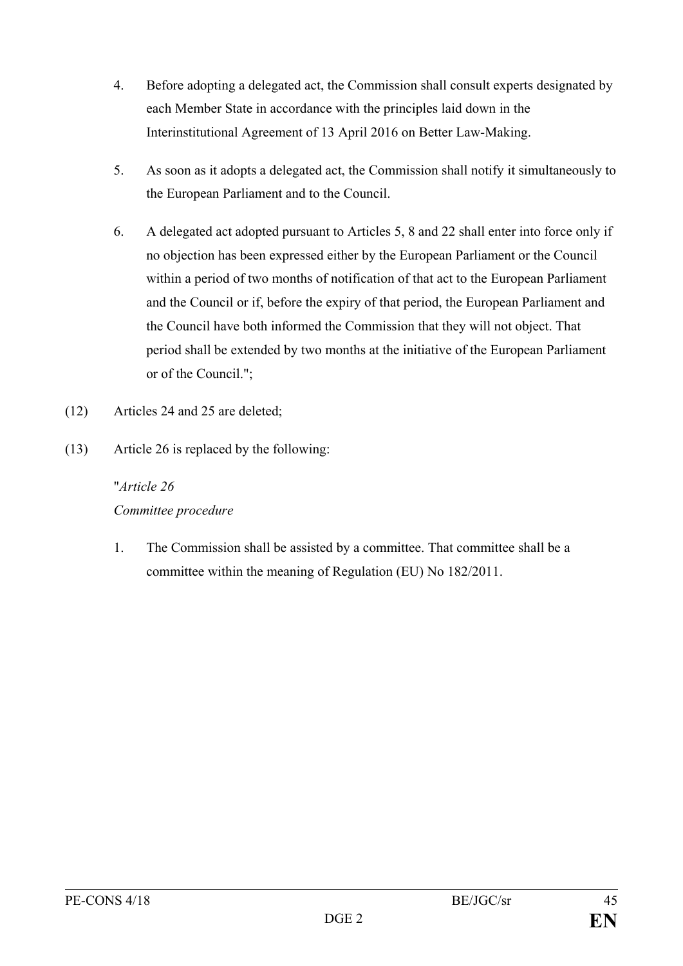- 4. Before adopting a delegated act, the Commission shall consult experts designated by each Member State in accordance with the principles laid down in the Interinstitutional Agreement of 13 April 2016 on Better Law-Making.
- 5. As soon as it adopts a delegated act, the Commission shall notify it simultaneously to the European Parliament and to the Council.
- 6. A delegated act adopted pursuant to Articles 5, 8 and 22 shall enter into force only if no objection has been expressed either by the European Parliament or the Council within a period of two months of notification of that act to the European Parliament and the Council or if, before the expiry of that period, the European Parliament and the Council have both informed the Commission that they will not object. That period shall be extended by two months at the initiative of the European Parliament or of the Council.";
- (12) Articles 24 and 25 are deleted;
- (13) Article 26 is replaced by the following:

# "*Article 26 Committee procedure*

1. The Commission shall be assisted by a committee. That committee shall be a committee within the meaning of Regulation (EU) No 182/2011.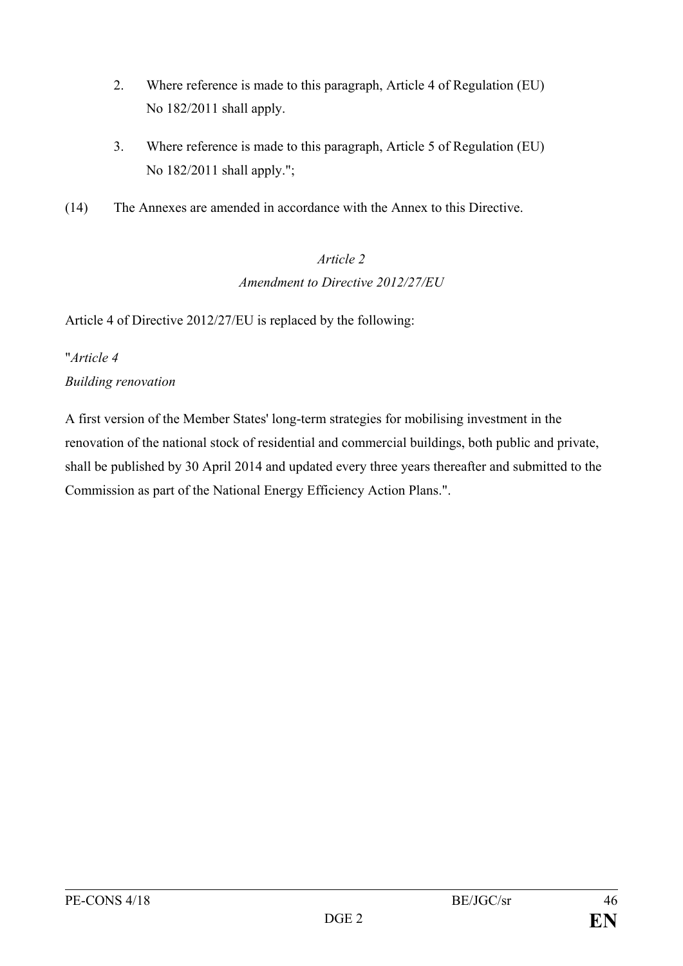- 2. Where reference is made to this paragraph, Article 4 of Regulation (EU) No 182/2011 shall apply.
- 3. Where reference is made to this paragraph, Article 5 of Regulation (EU) No 182/2011 shall apply.";
- (14) The Annexes are amended in accordance with the Annex to this Directive.

# *Article 2 Amendment to Directive 2012/27/EU*

Article 4 of Directive 2012/27/EU is replaced by the following:

# "*Article 4 Building renovation*

A first version of the Member States' long-term strategies for mobilising investment in the renovation of the national stock of residential and commercial buildings, both public and private, shall be published by 30 April 2014 and updated every three years thereafter and submitted to the Commission as part of the National Energy Efficiency Action Plans.".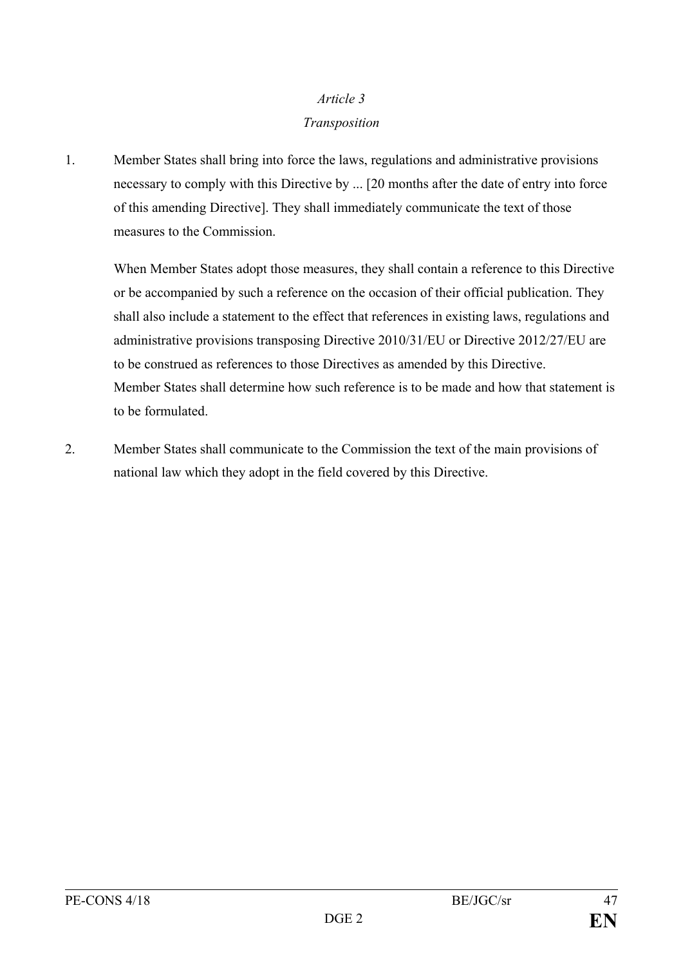# *Article 3*

### *Transposition*

1. Member States shall bring into force the laws, regulations and administrative provisions necessary to comply with this Directive by ... [20 months after the date of entry into force of this amending Directive]. They shall immediately communicate the text of those measures to the Commission.

When Member States adopt those measures, they shall contain a reference to this Directive or be accompanied by such a reference on the occasion of their official publication. They shall also include a statement to the effect that references in existing laws, regulations and administrative provisions transposing Directive 2010/31/EU or Directive 2012/27/EU are to be construed as references to those Directives as amended by this Directive. Member States shall determine how such reference is to be made and how that statement is to be formulated.

2. Member States shall communicate to the Commission the text of the main provisions of national law which they adopt in the field covered by this Directive.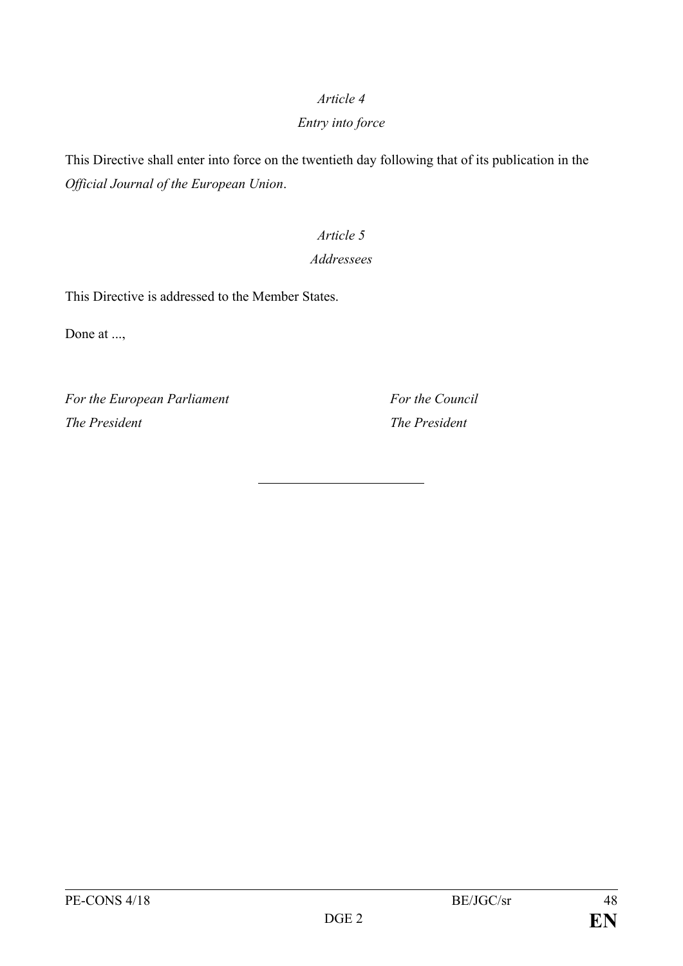### *Article 4*

# *Entry into force*

This Directive shall enter into force on the twentieth day following that of its publication in the *Official Journal of the European Union*.

# *Article 5*

# *Addressees*

This Directive is addressed to the Member States.

Done at ...,

*For the European Parliament For the Council The President The President*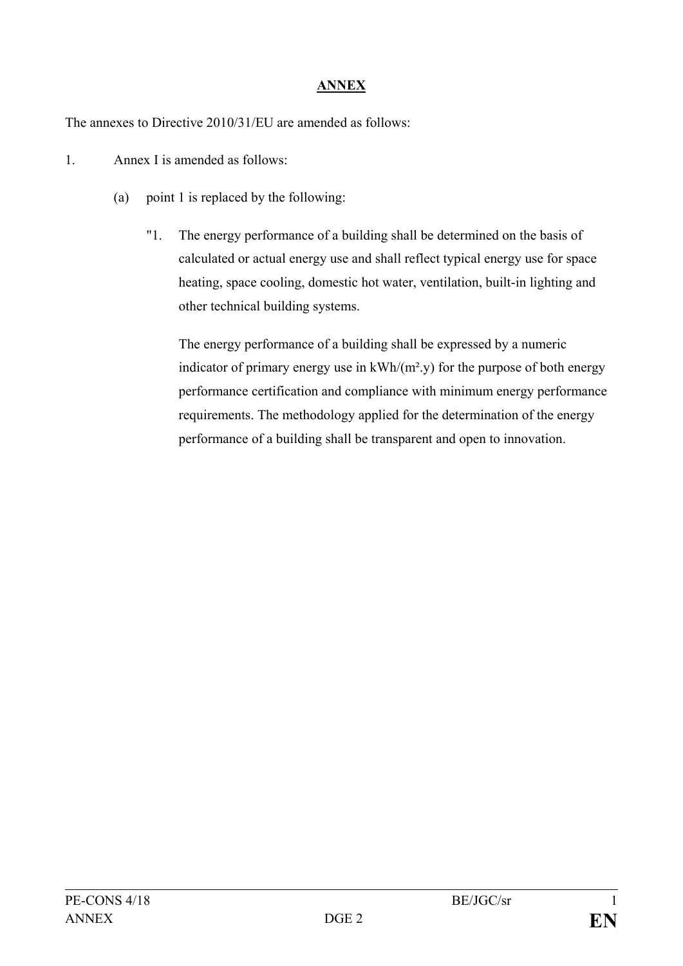# **ANNEX**

The annexes to Directive 2010/31/EU are amended as follows:

- 1. Annex I is amended as follows:
	- (a) point 1 is replaced by the following:
		- "1. The energy performance of a building shall be determined on the basis of calculated or actual energy use and shall reflect typical energy use for space heating, space cooling, domestic hot water, ventilation, built-in lighting and other technical building systems.

The energy performance of a building shall be expressed by a numeric indicator of primary energy use in kWh/(m².y) for the purpose of both energy performance certification and compliance with minimum energy performance requirements. The methodology applied for the determination of the energy performance of a building shall be transparent and open to innovation.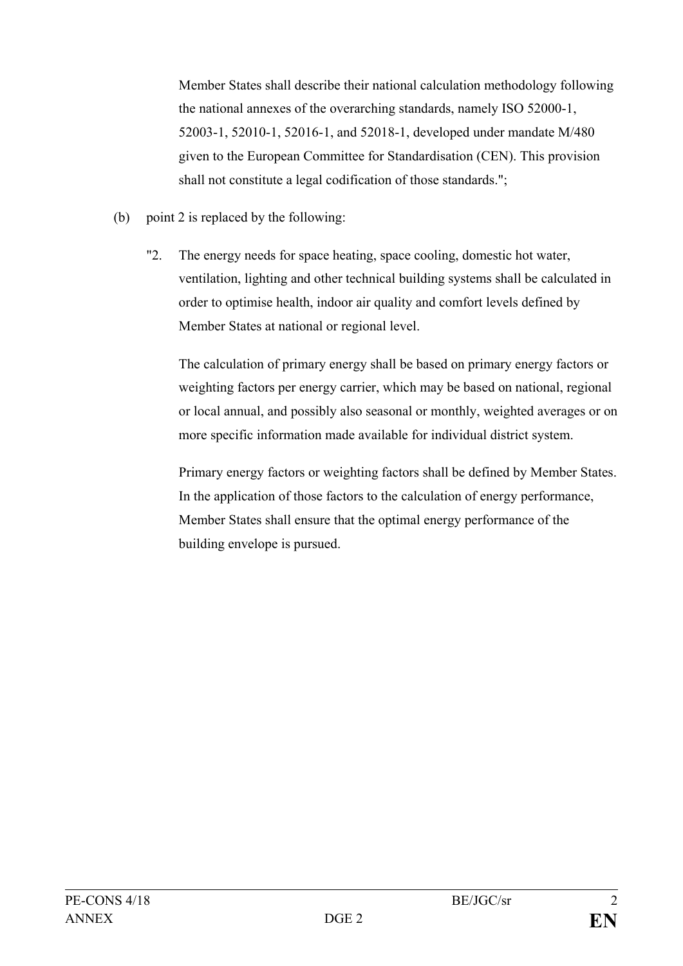Member States shall describe their national calculation methodology following the national annexes of the overarching standards, namely ISO 52000-1, 52003-1, 52010-1, 52016-1, and 52018-1, developed under mandate M/480 given to the European Committee for Standardisation (CEN). This provision shall not constitute a legal codification of those standards.";

- (b) point 2 is replaced by the following:
	- "2. The energy needs for space heating, space cooling, domestic hot water, ventilation, lighting and other technical building systems shall be calculated in order to optimise health, indoor air quality and comfort levels defined by Member States at national or regional level.

The calculation of primary energy shall be based on primary energy factors or weighting factors per energy carrier, which may be based on national, regional or local annual, and possibly also seasonal or monthly, weighted averages or on more specific information made available for individual district system.

Primary energy factors or weighting factors shall be defined by Member States. In the application of those factors to the calculation of energy performance, Member States shall ensure that the optimal energy performance of the building envelope is pursued.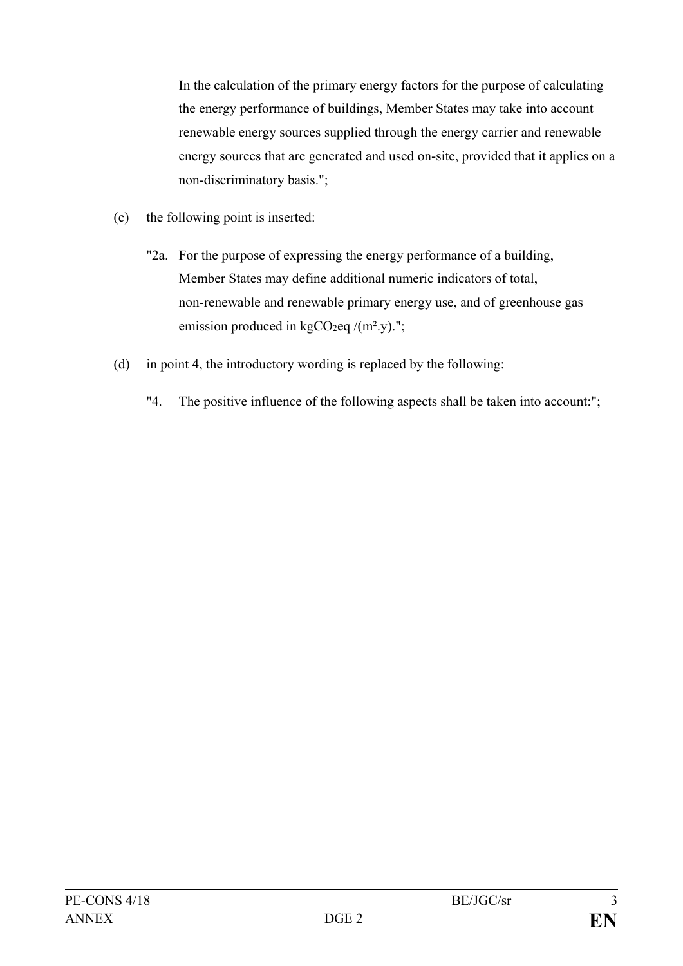In the calculation of the primary energy factors for the purpose of calculating the energy performance of buildings, Member States may take into account renewable energy sources supplied through the energy carrier and renewable energy sources that are generated and used on-site, provided that it applies on a non-discriminatory basis.";

- (c) the following point is inserted:
	- "2a. For the purpose of expressing the energy performance of a building, Member States may define additional numeric indicators of total, non-renewable and renewable primary energy use, and of greenhouse gas emission produced in kgCO<sub>2</sub>eq  $/(m^2 y)$ .";
- (d) in point 4, the introductory wording is replaced by the following:
	- "4. The positive influence of the following aspects shall be taken into account:";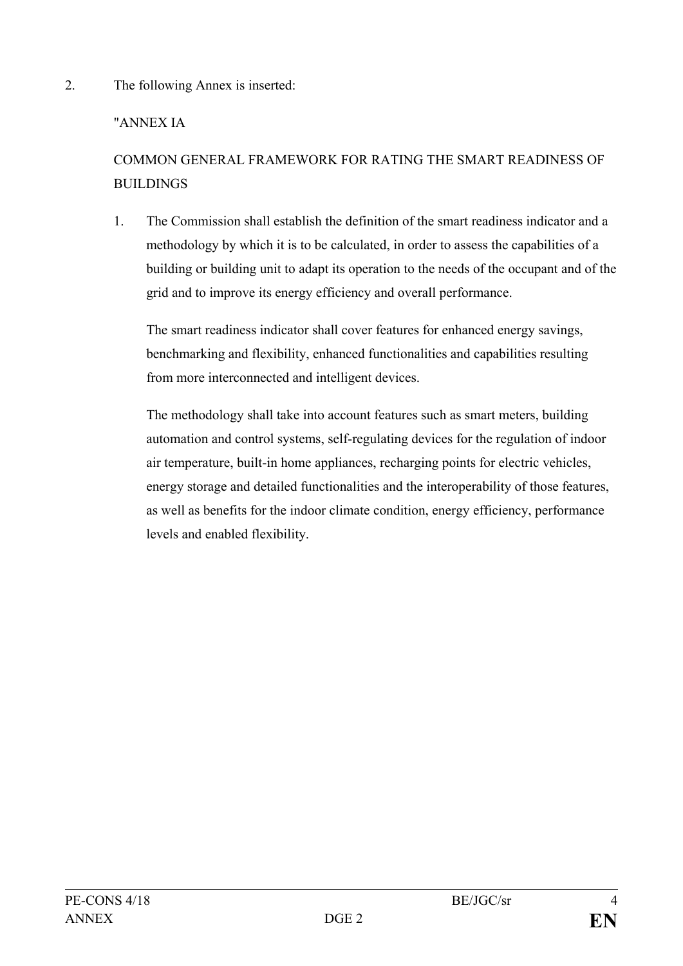2. The following Annex is inserted:

# "ANNEX IA

# COMMON GENERAL FRAMEWORK FOR RATING THE SMART READINESS OF BUILDINGS

1. The Commission shall establish the definition of the smart readiness indicator and a methodology by which it is to be calculated, in order to assess the capabilities of a building or building unit to adapt its operation to the needs of the occupant and of the grid and to improve its energy efficiency and overall performance.

The smart readiness indicator shall cover features for enhanced energy savings, benchmarking and flexibility, enhanced functionalities and capabilities resulting from more interconnected and intelligent devices.

The methodology shall take into account features such as smart meters, building automation and control systems, self-regulating devices for the regulation of indoor air temperature, built-in home appliances, recharging points for electric vehicles, energy storage and detailed functionalities and the interoperability of those features, as well as benefits for the indoor climate condition, energy efficiency, performance levels and enabled flexibility.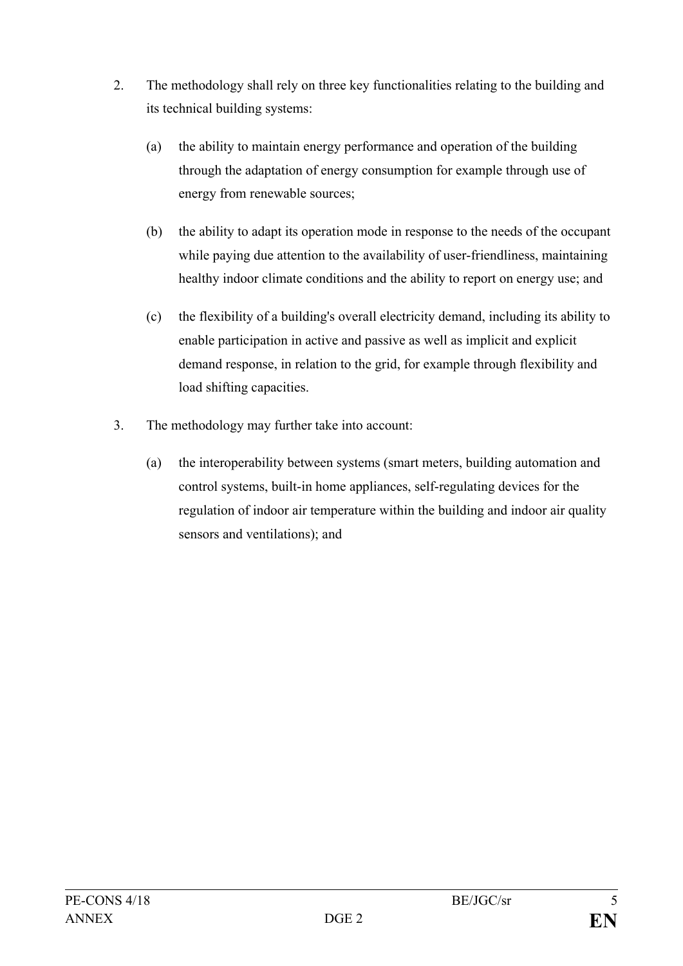- 2. The methodology shall rely on three key functionalities relating to the building and its technical building systems:
	- (a) the ability to maintain energy performance and operation of the building through the adaptation of energy consumption for example through use of energy from renewable sources;
	- (b) the ability to adapt its operation mode in response to the needs of the occupant while paying due attention to the availability of user-friendliness, maintaining healthy indoor climate conditions and the ability to report on energy use; and
	- (c) the flexibility of a building's overall electricity demand, including its ability to enable participation in active and passive as well as implicit and explicit demand response, in relation to the grid, for example through flexibility and load shifting capacities.
- 3. The methodology may further take into account:
	- (a) the interoperability between systems (smart meters, building automation and control systems, built-in home appliances, self-regulating devices for the regulation of indoor air temperature within the building and indoor air quality sensors and ventilations); and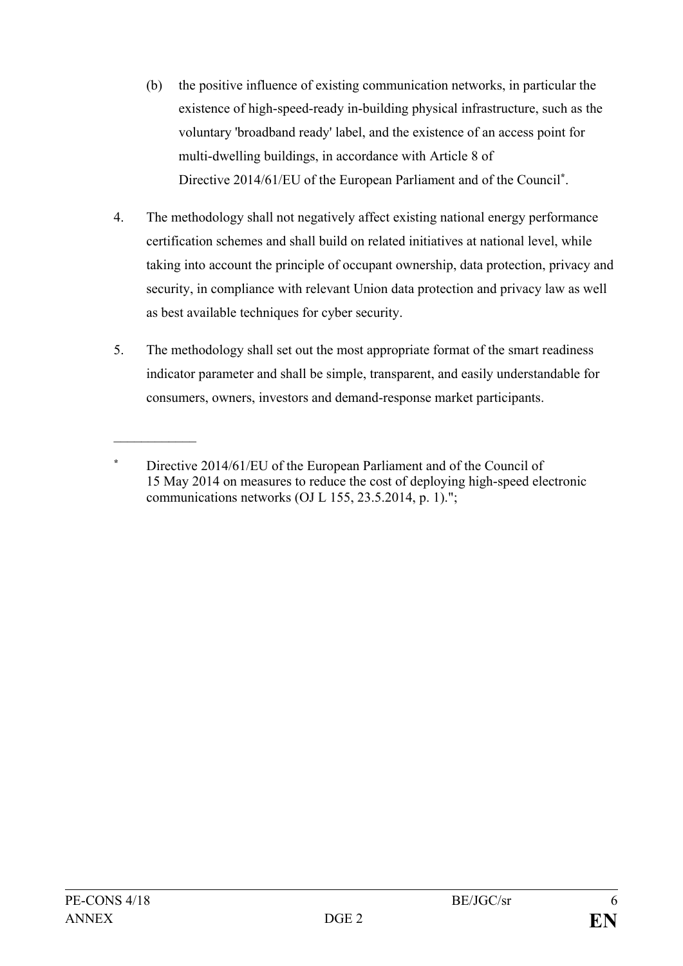- (b) the positive influence of existing communication networks, in particular the existence of high-speed-ready in-building physical infrastructure, such as the voluntary 'broadband ready' label, and the existence of an access point for multi-dwelling buildings, in accordance with Article 8 of Directive 2014/61/EU of the European Parliament and of the Council**\***.
- 4. The methodology shall not negatively affect existing national energy performance certification schemes and shall build on related initiatives at national level, while taking into account the principle of occupant ownership, data protection, privacy and security, in compliance with relevant Union data protection and privacy law as well as best available techniques for cyber security.
- 5. The methodology shall set out the most appropriate format of the smart readiness indicator parameter and shall be simple, transparent, and easily understandable for consumers, owners, investors and demand-response market participants.

 $\mathcal{L}$  , we have the set of  $\mathcal{L}$ 

**<sup>\*</sup>** Directive 2014/61/EU of the European Parliament and of the Council of 15 May 2014 on measures to reduce the cost of deploying high-speed electronic communications networks (OJ L 155, 23.5.2014, p. 1).";